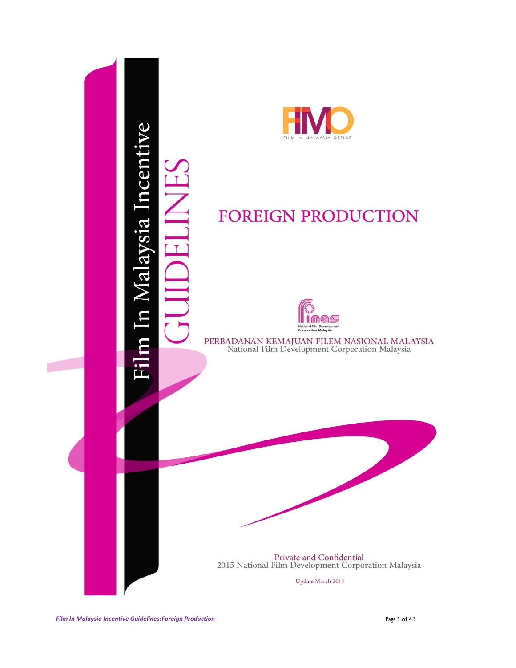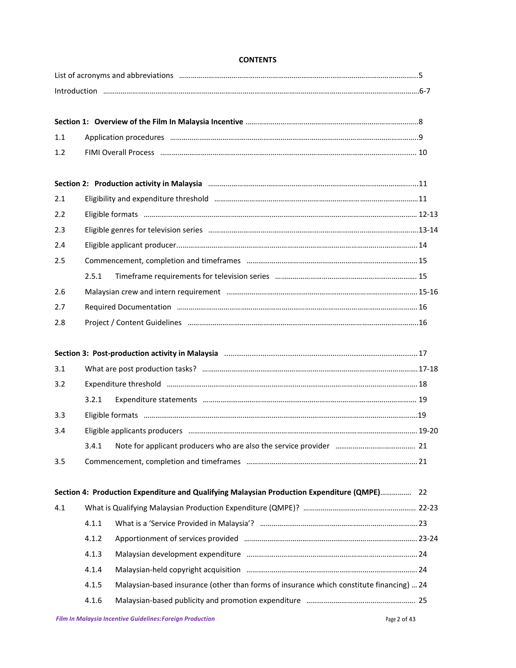#### **CONTENTS**

| 1.1 |                                                                                                                                                                                                                               |                                                                                          |
|-----|-------------------------------------------------------------------------------------------------------------------------------------------------------------------------------------------------------------------------------|------------------------------------------------------------------------------------------|
| 1.2 |                                                                                                                                                                                                                               |                                                                                          |
|     | Section 2: Production activity in Malaysia manufactured and announcement control of the Section 2: Production activity in Malaysia manufactured and announcement of the Section 21                                            |                                                                                          |
| 2.1 |                                                                                                                                                                                                                               |                                                                                          |
| 2.2 |                                                                                                                                                                                                                               |                                                                                          |
| 2.3 |                                                                                                                                                                                                                               |                                                                                          |
| 2.4 |                                                                                                                                                                                                                               |                                                                                          |
| 2.5 |                                                                                                                                                                                                                               |                                                                                          |
|     | 2.5.1                                                                                                                                                                                                                         |                                                                                          |
| 2.6 |                                                                                                                                                                                                                               |                                                                                          |
| 2.7 |                                                                                                                                                                                                                               |                                                                                          |
| 2.8 | Project / Content Guidelines manufactured and content of the distribution of the content of the manufactured and the content of the content of the content of the content of the content of the content of the content of the |                                                                                          |
|     |                                                                                                                                                                                                                               |                                                                                          |
| 3.1 |                                                                                                                                                                                                                               |                                                                                          |
| 3.2 |                                                                                                                                                                                                                               |                                                                                          |
|     | 3.2.1                                                                                                                                                                                                                         |                                                                                          |
| 3.3 |                                                                                                                                                                                                                               |                                                                                          |
| 3.4 |                                                                                                                                                                                                                               |                                                                                          |
|     |                                                                                                                                                                                                                               |                                                                                          |
| 3.5 |                                                                                                                                                                                                                               |                                                                                          |
|     | Section 4: Production Expenditure and Qualifying Malaysian Production Expenditure (QMPE) 22                                                                                                                                   |                                                                                          |
| 4.1 |                                                                                                                                                                                                                               |                                                                                          |
|     | 4.1.1                                                                                                                                                                                                                         |                                                                                          |
|     | 4.1.2                                                                                                                                                                                                                         |                                                                                          |
|     | 4.1.3                                                                                                                                                                                                                         |                                                                                          |
|     | 4.1.4                                                                                                                                                                                                                         | Malaysian-held copyright acquisition manufactured and manufactured and 24                |
|     | 4.1.5                                                                                                                                                                                                                         | Malaysian-based insurance (other than forms of insurance which constitute financing)  24 |
|     | 4.1.6                                                                                                                                                                                                                         |                                                                                          |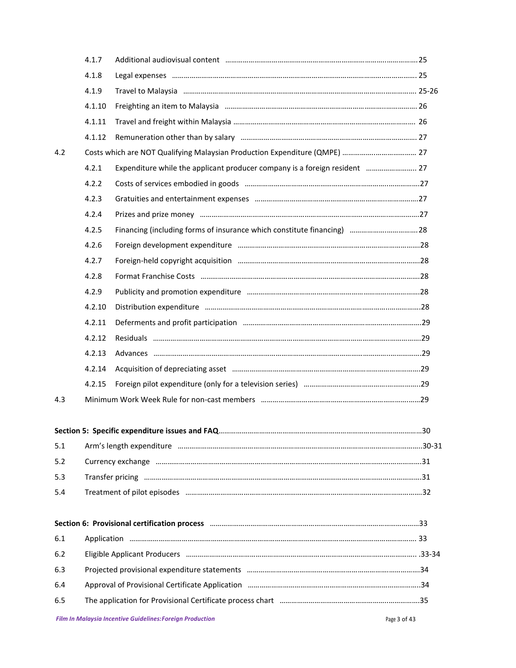|     | 4.1.7  |                                                                                                                                                                                                                                |     |
|-----|--------|--------------------------------------------------------------------------------------------------------------------------------------------------------------------------------------------------------------------------------|-----|
|     | 4.1.8  |                                                                                                                                                                                                                                |     |
|     | 4.1.9  |                                                                                                                                                                                                                                |     |
|     | 4.1.10 |                                                                                                                                                                                                                                |     |
|     | 4.1.11 |                                                                                                                                                                                                                                |     |
|     | 4.1.12 |                                                                                                                                                                                                                                |     |
| 4.2 |        | Costs which are NOT Qualifying Malaysian Production Expenditure (QMPE)  27                                                                                                                                                     |     |
|     | 4.2.1  | Expenditure while the applicant producer company is a foreign resident  27                                                                                                                                                     |     |
|     | 4.2.2  |                                                                                                                                                                                                                                |     |
|     | 4.2.3  |                                                                                                                                                                                                                                |     |
|     | 4.2.4  |                                                                                                                                                                                                                                |     |
|     | 4.2.5  | Financing (including forms of insurance which constitute financing)  28                                                                                                                                                        |     |
|     | 4.2.6  |                                                                                                                                                                                                                                |     |
|     | 4.2.7  |                                                                                                                                                                                                                                |     |
|     | 4.2.8  |                                                                                                                                                                                                                                |     |
|     | 4.2.9  |                                                                                                                                                                                                                                |     |
|     | 4.2.10 |                                                                                                                                                                                                                                |     |
|     | 4.2.11 |                                                                                                                                                                                                                                |     |
|     | 4.2.12 |                                                                                                                                                                                                                                |     |
|     | 4.2.13 |                                                                                                                                                                                                                                |     |
|     | 4.2.14 |                                                                                                                                                                                                                                |     |
|     | 4.2.15 |                                                                                                                                                                                                                                |     |
| 4.3 |        |                                                                                                                                                                                                                                |     |
|     |        |                                                                                                                                                                                                                                |     |
|     |        | Section 5: Specific expenditure issues and FAQ                                                                                                                                                                                 | .30 |
| 5.1 |        |                                                                                                                                                                                                                                |     |
| 5.2 |        | Currency exchange manufactured and contract and all the contract of the contract of the contract of the contract of the contract of the contract of the contract of the contract of the contract of the contract of the contra |     |
| 5.3 |        |                                                                                                                                                                                                                                |     |
| 5.4 |        |                                                                                                                                                                                                                                |     |
|     |        |                                                                                                                                                                                                                                |     |
|     |        | Section 6: Provisional certification process manufactured and continuum and control of the state and 33                                                                                                                        |     |
| 6.1 |        |                                                                                                                                                                                                                                |     |
| 6.2 |        |                                                                                                                                                                                                                                |     |
| 6.3 |        |                                                                                                                                                                                                                                |     |
| 6.4 |        |                                                                                                                                                                                                                                |     |
| 6.5 |        |                                                                                                                                                                                                                                |     |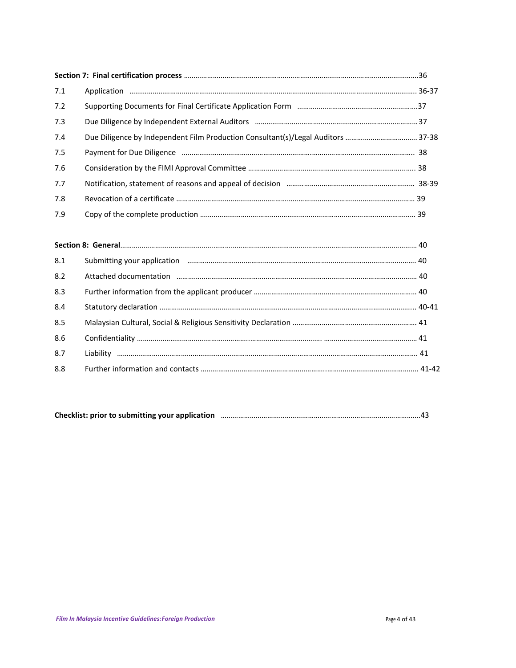| 7.1 |  |
|-----|--|
| 7.2 |  |
| 7.3 |  |
| 7.4 |  |
| 7.5 |  |
| 7.6 |  |
| 7.7 |  |
| 7.8 |  |
| 7.9 |  |

| 8.1 | Submitting your application manufactured and the control of the state of the state of the state and the state of the state of the state of the state of the state of the state of the state of the state of the state of the s |  |
|-----|--------------------------------------------------------------------------------------------------------------------------------------------------------------------------------------------------------------------------------|--|
| 8.2 | Attached documentation manufacture and the manufacture and according to the manufacture and the manufacture and                                                                                                                |  |
| 8.3 |                                                                                                                                                                                                                                |  |
| 8.4 |                                                                                                                                                                                                                                |  |
| 8.5 |                                                                                                                                                                                                                                |  |
| 8.6 |                                                                                                                                                                                                                                |  |
| 8.7 |                                                                                                                                                                                                                                |  |
| 8.8 |                                                                                                                                                                                                                                |  |

| Checklist: prior to submitting your application |  |
|-------------------------------------------------|--|
|-------------------------------------------------|--|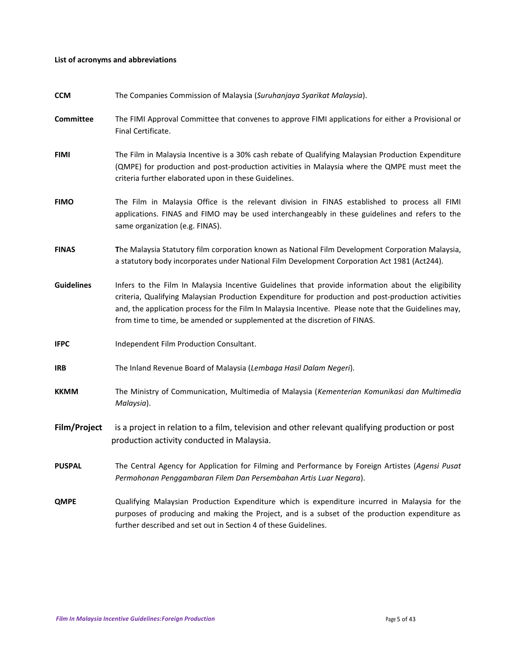#### **List of acronyms and abbreviations**

| <b>CCM</b>        | The Companies Commission of Malaysia (Suruhanjaya Syarikat Malaysia).                                                                                                                                                                                                                                                                                                                           |
|-------------------|-------------------------------------------------------------------------------------------------------------------------------------------------------------------------------------------------------------------------------------------------------------------------------------------------------------------------------------------------------------------------------------------------|
| <b>Committee</b>  | The FIMI Approval Committee that convenes to approve FIMI applications for either a Provisional or<br>Final Certificate.                                                                                                                                                                                                                                                                        |
| <b>FIMI</b>       | The Film in Malaysia Incentive is a 30% cash rebate of Qualifying Malaysian Production Expenditure<br>(QMPE) for production and post-production activities in Malaysia where the QMPE must meet the<br>criteria further elaborated upon in these Guidelines.                                                                                                                                    |
| <b>FIMO</b>       | The Film in Malaysia Office is the relevant division in FINAS established to process all FIMI<br>applications. FINAS and FIMO may be used interchangeably in these guidelines and refers to the<br>same organization (e.g. FINAS).                                                                                                                                                              |
| <b>FINAS</b>      | The Malaysia Statutory film corporation known as National Film Development Corporation Malaysia,<br>a statutory body incorporates under National Film Development Corporation Act 1981 (Act244).                                                                                                                                                                                                |
| <b>Guidelines</b> | Infers to the Film In Malaysia Incentive Guidelines that provide information about the eligibility<br>criteria, Qualifying Malaysian Production Expenditure for production and post-production activities<br>and, the application process for the Film In Malaysia Incentive. Please note that the Guidelines may,<br>from time to time, be amended or supplemented at the discretion of FINAS. |
| <b>IFPC</b>       | Independent Film Production Consultant.                                                                                                                                                                                                                                                                                                                                                         |
| <b>IRB</b>        | The Inland Revenue Board of Malaysia (Lembaga Hasil Dalam Negeri).                                                                                                                                                                                                                                                                                                                              |
| <b>KKMM</b>       | The Ministry of Communication, Multimedia of Malaysia (Kementerian Komunikasi dan Multimedia<br>Malaysia).                                                                                                                                                                                                                                                                                      |
| Film/Project      | is a project in relation to a film, television and other relevant qualifying production or post<br>production activity conducted in Malaysia.                                                                                                                                                                                                                                                   |
| <b>PUSPAL</b>     | The Central Agency for Application for Filming and Performance by Foreign Artistes (Agensi Pusat<br>Permohonan Penggambaran Filem Dan Persembahan Artis Luar Negara).                                                                                                                                                                                                                           |
| <b>QMPE</b>       | Qualifying Malaysian Production Expenditure which is expenditure incurred in Malaysia for the<br>purposes of producing and making the Project, and is a subset of the production expenditure as<br>further described and set out in Section 4 of these Guidelines.                                                                                                                              |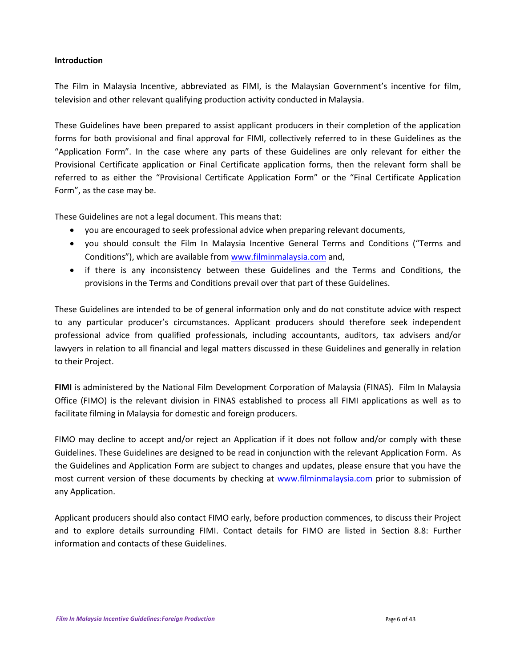### **Introduction**

The Film in Malaysia Incentive, abbreviated as FIMI, is the Malaysian Government's incentive for film, television and other relevant qualifying production activity conducted in Malaysia.

These Guidelines have been prepared to assist applicant producers in their completion of the application forms for both provisional and final approval for FIMI, collectively referred to in these Guidelines as the "Application Form". In the case where any parts of these Guidelines are only relevant for either the Provisional Certificate application or Final Certificate application forms, then the relevant form shall be referred to as either the "Provisional Certificate Application Form" or the "Final Certificate Application Form", as the case may be.

These Guidelines are not a legal document. This means that:

- you are encouraged to seek professional advice when preparing relevant documents,
- you should consult the Film In Malaysia Incentive General Terms and Conditions ("Terms and Conditions"), which are available from [www.filminmalaysia.com](http://www.filminmalaysia.com/) and,
- if there is any inconsistency between these Guidelines and the Terms and Conditions, the provisions in the Terms and Conditions prevail over that part of these Guidelines.

These Guidelines are intended to be of general information only and do not constitute advice with respect to any particular producer's circumstances. Applicant producers should therefore seek independent professional advice from qualified professionals, including accountants, auditors, tax advisers and/or lawyers in relation to all financial and legal matters discussed in these Guidelines and generally in relation to their Project.

**FIMI** is administered by the National Film Development Corporation of Malaysia (FINAS). Film In Malaysia Office (FIMO) is the relevant division in FINAS established to process all FIMI applications as well as to facilitate filming in Malaysia for domestic and foreign producers.

FIMO may decline to accept and/or reject an Application if it does not follow and/or comply with these Guidelines. These Guidelines are designed to be read in conjunction with the relevant Application Form. As the Guidelines and Application Form are subject to changes and updates, please ensure that you have the most current version of these documents by checking at [www.filminmalaysia.com](http://www.filminmalaysia.com/) prior to submission of any Application.

Applicant producers should also contact FIMO early, before production commences, to discuss their Project and to explore details surrounding FIMI. Contact details for FIMO are listed in Section 8.8: Further information and contacts of these Guidelines.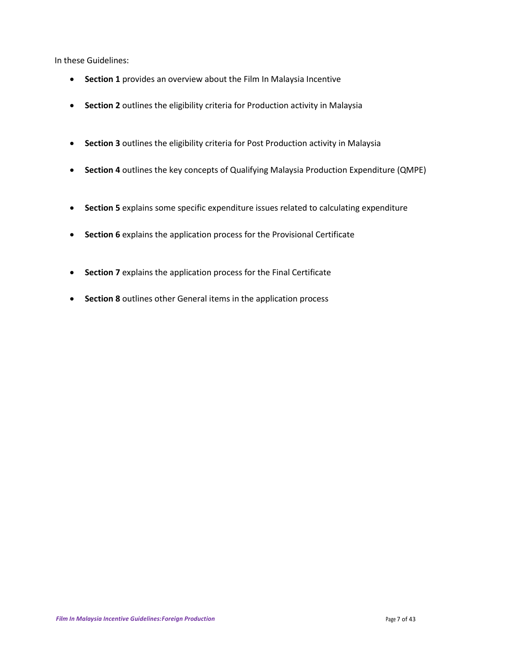In these Guidelines:

- **Section 1** provides an overview about the Film In Malaysia Incentive
- **Section 2** outlines the eligibility criteria for Production activity in Malaysia
- **Section 3** outlines the eligibility criteria for Post Production activity in Malaysia
- **Section 4** outlines the key concepts of Qualifying Malaysia Production Expenditure (QMPE)
- **Section 5** explains some specific expenditure issues related to calculating expenditure
- **Section 6** explains the application process for the Provisional Certificate
- **Section 7** explains the application process for the Final Certificate
- **•** Section 8 outlines other General items in the application process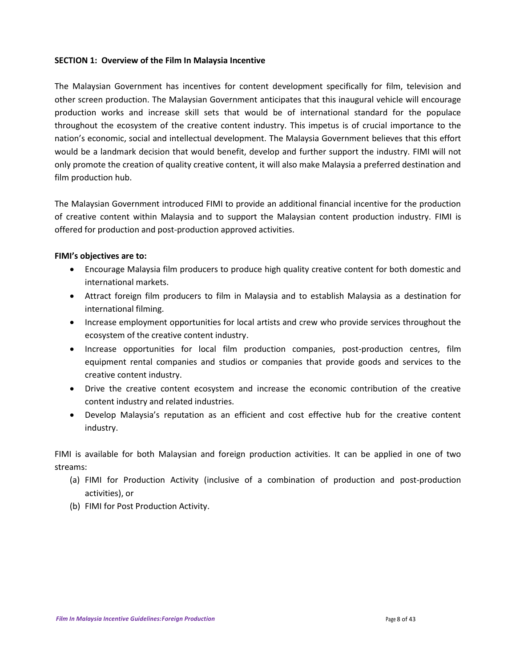#### **SECTION 1: Overview of the Film In Malaysia Incentive**

The Malaysian Government has incentives for content development specifically for film, television and other screen production. The Malaysian Government anticipates that this inaugural vehicle will encourage production works and increase skill sets that would be of international standard for the populace throughout the ecosystem of the creative content industry. This impetus is of crucial importance to the nation's economic, social and intellectual development. The Malaysia Government believes that this effort would be a landmark decision that would benefit, develop and further support the industry. FIMI will not only promote the creation of quality creative content, it will also make Malaysia a preferred destination and film production hub.

The Malaysian Government introduced FIMI to provide an additional financial incentive for the production of creative content within Malaysia and to support the Malaysian content production industry. FIMI is offered for production and post-production approved activities.

## **FIMI's objectives are to:**

- Encourage Malaysia film producers to produce high quality creative content for both domestic and international markets.
- Attract foreign film producers to film in Malaysia and to establish Malaysia as a destination for international filming.
- Increase employment opportunities for local artists and crew who provide services throughout the ecosystem of the creative content industry.
- Increase opportunities for local film production companies, post-production centres, film equipment rental companies and studios or companies that provide goods and services to the creative content industry.
- Drive the creative content ecosystem and increase the economic contribution of the creative content industry and related industries.
- Develop Malaysia's reputation as an efficient and cost effective hub for the creative content industry.

FIMI is available for both Malaysian and foreign production activities. It can be applied in one of two streams:

- (a) FIMI for Production Activity (inclusive of a combination of production and post-production activities), or
- (b) FIMI for Post Production Activity.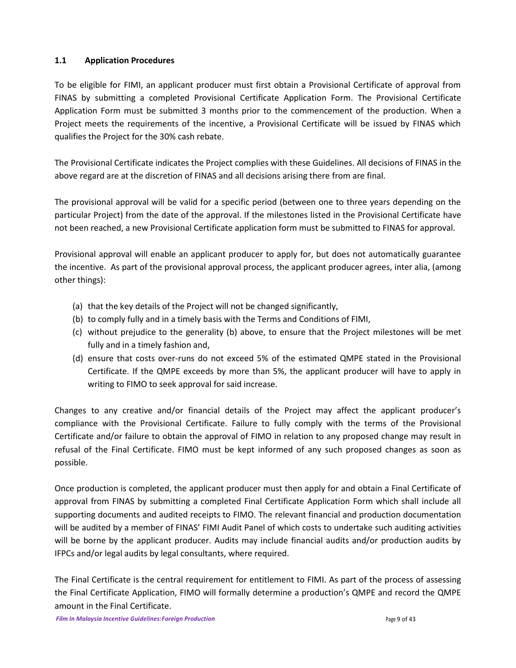## **1.1 Application Procedures**

To be eligible for FIMI, an applicant producer must first obtain a Provisional Certificate of approval from FINAS by submitting a completed Provisional Certificate Application Form. The Provisional Certificate Application Form must be submitted 3 months prior to the commencement of the production. When a Project meets the requirements of the incentive, a Provisional Certificate will be issued by FINAS which qualifies the Project for the 30% cash rebate.

The Provisional Certificate indicates the Project complies with these Guidelines. All decisions of FINAS in the above regard are at the discretion of FINAS and all decisions arising there from are final.

The provisional approval will be valid for a specific period (between one to three years depending on the particular Project) from the date of the approval. If the milestones listed in the Provisional Certificate have not been reached, a new Provisional Certificate application form must be submitted to FINAS for approval.

Provisional approval will enable an applicant producer to apply for, but does not automatically guarantee the incentive. As part of the provisional approval process, the applicant producer agrees, inter alia, (among other things):

- (a) that the key details of the Project will not be changed significantly,
- (b) to comply fully and in a timely basis with the Terms and Conditions of FIMI,
- (c) without prejudice to the generality (b) above, to ensure that the Project milestones will be met fully and in a timely fashion and,
- (d) ensure that costs over-runs do not exceed 5% of the estimated QMPE stated in the Provisional Certificate. If the QMPE exceeds by more than 5%, the applicant producer will have to apply in writing to FIMO to seek approval for said increase.

Changes to any creative and/or financial details of the Project may affect the applicant producer's compliance with the Provisional Certificate. Failure to fully comply with the terms of the Provisional Certificate and/or failure to obtain the approval of FIMO in relation to any proposed change may result in refusal of the Final Certificate. FIMO must be kept informed of any such proposed changes as soon as possible.

Once production is completed, the applicant producer must then apply for and obtain a Final Certificate of approval from FINAS by submitting a completed Final Certificate Application Form which shall include all supporting documents and audited receipts to FIMO. The relevant financial and production documentation will be audited by a member of FINAS' FIMI Audit Panel of which costs to undertake such auditing activities will be borne by the applicant producer. Audits may include financial audits and/or production audits by IFPCs and/or legal audits by legal consultants, where required.

The Final Certificate is the central requirement for entitlement to FIMI. As part of the process of assessing the Final Certificate Application, FIMO will formally determine a production's QMPE and record the QMPE amount in the Final Certificate.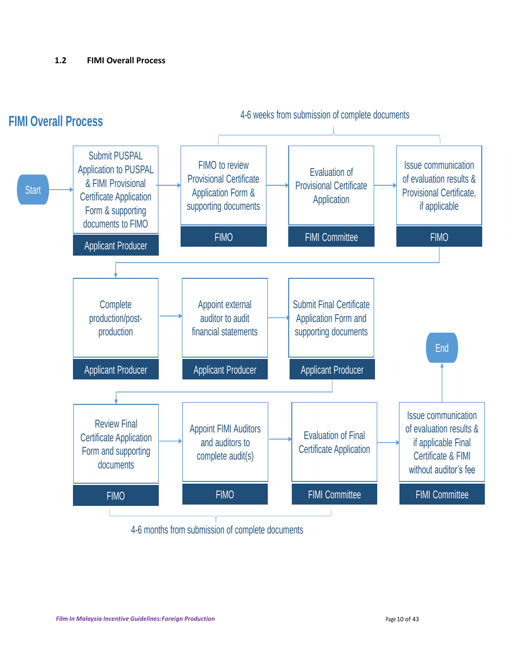# **1.2 FIMI Overall Process**



4-6 months from submission of complete documents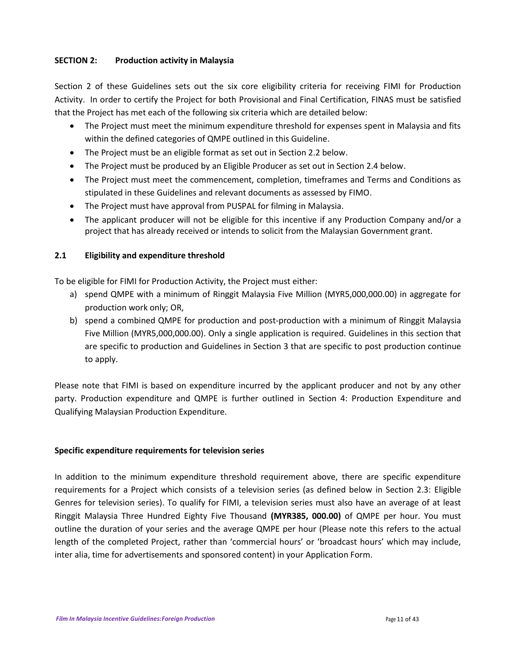# **SECTION 2: Production activity in Malaysia**

Section 2 of these Guidelines sets out the six core eligibility criteria for receiving FIMI for Production Activity. In order to certify the Project for both Provisional and Final Certification, FINAS must be satisfied that the Project has met each of the following six criteria which are detailed below:

- The Project must meet the minimum expenditure threshold for expenses spent in Malaysia and fits within the defined categories of QMPE outlined in this Guideline.
- The Project must be an eligible format as set out in Section 2.2 below.
- The Project must be produced by an Eligible Producer as set out in Section 2.4 below.
- The Project must meet the commencement, completion, timeframes and Terms and Conditions as stipulated in these Guidelines and relevant documents as assessed by FIMO.
- The Project must have approval from PUSPAL for filming in Malaysia.
- The applicant producer will not be eligible for this incentive if any Production Company and/or a project that has already received or intends to solicit from the Malaysian Government grant.

# **2.1 Eligibility and expenditure threshold**

To be eligible for FIMI for Production Activity, the Project must either:

- a) spend QMPE with a minimum of Ringgit Malaysia Five Million (MYR5,000,000.00) in aggregate for production work only; OR,
- b) spend a combined QMPE for production and post-production with a minimum of Ringgit Malaysia Five Million (MYR5,000,000.00). Only a single application is required. Guidelines in this section that are specific to production and Guidelines in Section 3 that are specific to post production continue to apply.

Please note that FIMI is based on expenditure incurred by the applicant producer and not by any other party. Production expenditure and QMPE is further outlined in Section 4: Production Expenditure and Qualifying Malaysian Production Expenditure.

## **Specific expenditure requirements for television series**

In addition to the minimum expenditure threshold requirement above, there are specific expenditure requirements for a Project which consists of a television series (as defined below in Section 2.3: Eligible Genres for television series). To qualify for FIMI, a television series must also have an average of at least Ringgit Malaysia Three Hundred Eighty Five Thousand **(MYR385, 000.00)** of QMPE per hour. You must outline the duration of your series and the average QMPE per hour (Please note this refers to the actual length of the completed Project, rather than 'commercial hours' or 'broadcast hours' which may include, inter alia, time for advertisements and sponsored content) in your Application Form.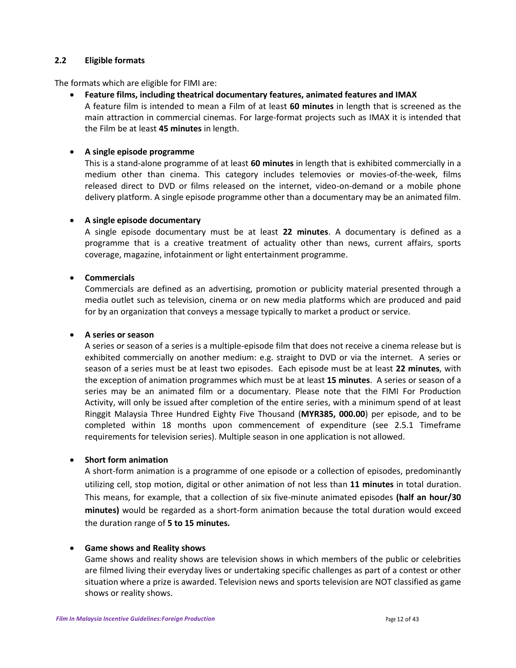## **2.2 Eligible formats**

The formats which are eligible for FIMI are:

**Feature films, including theatrical documentary features, animated features and IMAX**

A feature film is intended to mean a Film of at least **60 minutes** in length that is screened as the main attraction in commercial cinemas. For large-format projects such as IMAX it is intended that the Film be at least **45 minutes** in length.

## **A single episode programme**

This is a stand-alone programme of at least **60 minutes** in length that is exhibited commercially in a medium other than cinema. This category includes telemovies or movies-of-the-week, films released direct to DVD or films released on the internet, video-on-demand or a mobile phone delivery platform. A single episode programme other than a documentary may be an animated film.

## **A single episode documentary**

A single episode documentary must be at least **22 minutes**. A documentary is defined as a programme that is a creative treatment of actuality other than news, current affairs, sports coverage, magazine, infotainment or light entertainment programme.

# **Commercials**

Commercials are defined as an advertising, promotion or publicity material presented through a media outlet such as television, cinema or on new media platforms which are produced and paid for by an organization that conveys a message typically to market a product or service.

## **A series or season**

A series or season of a series is a multiple-episode film that does not receive a cinema release but is exhibited commercially on another medium: e.g. straight to DVD or via the internet. A series or season of a series must be at least two episodes. Each episode must be at least **22 minutes**, with the exception of animation programmes which must be at least **15 minutes**. A series or season of a series may be an animated film or a documentary. Please note that the FIMI For Production Activity, will only be issued after completion of the entire series, with a minimum spend of at least Ringgit Malaysia Three Hundred Eighty Five Thousand (**MYR385, 000.00**) per episode, and to be completed within 18 months upon commencement of expenditure (see 2.5.1 Timeframe requirements for television series). Multiple season in one application is not allowed.

## **Short form animation**

A short-form animation is a programme of one episode or a collection of episodes, predominantly utilizing cell, stop motion, digital or other animation of not less than **11 minutes** in total duration. This means, for example, that a collection of six five-minute animated episodes **(half an hour/30 minutes)** would be regarded as a short-form animation because the total duration would exceed the duration range of **5 to 15 minutes.**

## **Game shows and Reality shows**

Game shows and reality shows are television shows in which members of the public or celebrities are filmed living their everyday lives or undertaking specific challenges as part of a contest or other situation where a prize is awarded. Television news and sports television are NOT classified as game shows or reality shows.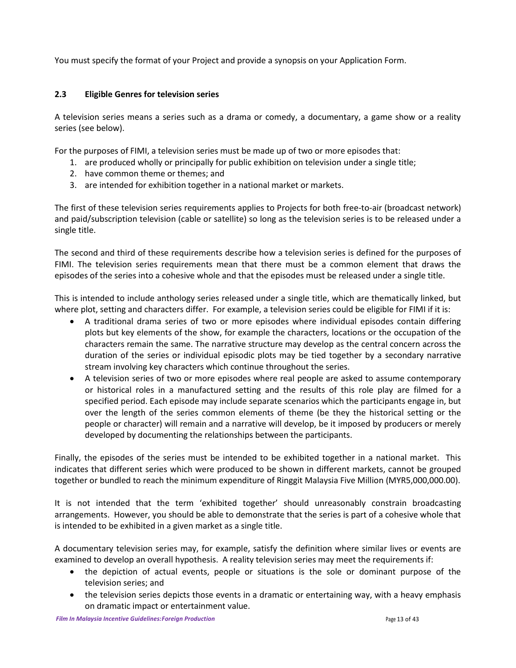You must specify the format of your Project and provide a synopsis on your Application Form.

## **2.3 Eligible Genres for television series**

A television series means a series such as a drama or comedy, a documentary, a game show or a reality series (see below).

For the purposes of FIMI, a television series must be made up of two or more episodes that:

- 1. are produced wholly or principally for public exhibition on television under a single title;
- 2. have common theme or themes; and
- 3. are intended for exhibition together in a national market or markets.

The first of these television series requirements applies to Projects for both free-to-air (broadcast network) and paid/subscription television (cable or satellite) so long as the television series is to be released under a single title.

The second and third of these requirements describe how a television series is defined for the purposes of FIMI. The television series requirements mean that there must be a common element that draws the episodes of the series into a cohesive whole and that the episodes must be released under a single title.

This is intended to include anthology series released under a single title, which are thematically linked, but where plot, setting and characters differ. For example, a television series could be eligible for FIMI if it is:

- A traditional drama series of two or more episodes where individual episodes contain differing plots but key elements of the show, for example the characters, locations or the occupation of the characters remain the same. The narrative structure may develop as the central concern across the duration of the series or individual episodic plots may be tied together by a secondary narrative stream involving key characters which continue throughout the series.
- A television series of two or more episodes where real people are asked to assume contemporary or historical roles in a manufactured setting and the results of this role play are filmed for a specified period. Each episode may include separate scenarios which the participants engage in, but over the length of the series common elements of theme (be they the historical setting or the people or character) will remain and a narrative will develop, be it imposed by producers or merely developed by documenting the relationships between the participants.

Finally, the episodes of the series must be intended to be exhibited together in a national market. This indicates that different series which were produced to be shown in different markets, cannot be grouped together or bundled to reach the minimum expenditure of Ringgit Malaysia Five Million (MYR5,000,000.00).

It is not intended that the term 'exhibited together' should unreasonably constrain broadcasting arrangements. However, you should be able to demonstrate that the series is part of a cohesive whole that is intended to be exhibited in a given market as a single title.

A documentary television series may, for example, satisfy the definition where similar lives or events are examined to develop an overall hypothesis. A reality television series may meet the requirements if:

- the depiction of actual events, people or situations is the sole or dominant purpose of the television series; and
- the television series depicts those events in a dramatic or entertaining way, with a heavy emphasis on dramatic impact or entertainment value.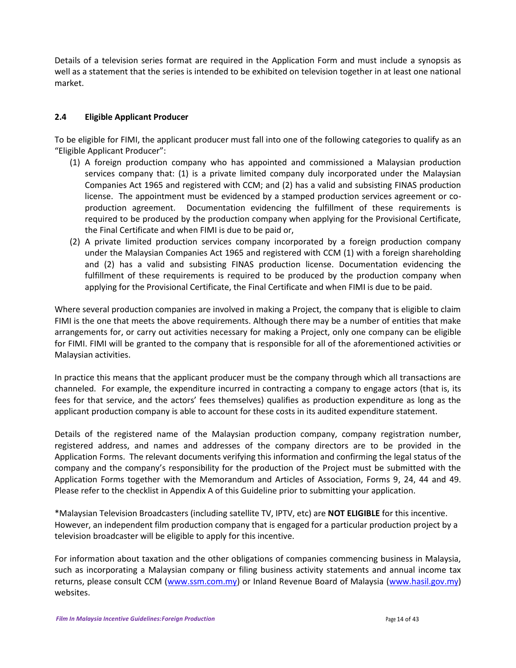Details of a television series format are required in the Application Form and must include a synopsis as well as a statement that the series is intended to be exhibited on television together in at least one national market.

## **2.4 Eligible Applicant Producer**

To be eligible for FIMI, the applicant producer must fall into one of the following categories to qualify as an "Eligible Applicant Producer":

- (1) A foreign production company who has appointed and commissioned a Malaysian production services company that: (1) is a private limited company duly incorporated under the Malaysian Companies Act 1965 and registered with CCM; and (2) has a valid and subsisting FINAS production license. The appointment must be evidenced by a stamped production services agreement or coproduction agreement. Documentation evidencing the fulfillment of these requirements is required to be produced by the production company when applying for the Provisional Certificate, the Final Certificate and when FIMI is due to be paid or,
- (2) A private limited production services company incorporated by a foreign production company under the Malaysian Companies Act 1965 and registered with CCM (1) with a foreign shareholding and (2) has a valid and subsisting FINAS production license. Documentation evidencing the fulfillment of these requirements is required to be produced by the production company when applying for the Provisional Certificate, the Final Certificate and when FIMI is due to be paid.

Where several production companies are involved in making a Project, the company that is eligible to claim FIMI is the one that meets the above requirements. Although there may be a number of entities that make arrangements for, or carry out activities necessary for making a Project, only one company can be eligible for FIMI. FIMI will be granted to the company that is responsible for all of the aforementioned activities or Malaysian activities.

In practice this means that the applicant producer must be the company through which all transactions are channeled. For example, the expenditure incurred in contracting a company to engage actors (that is, its fees for that service, and the actors' fees themselves) qualifies as production expenditure as long as the applicant production company is able to account for these costs in its audited expenditure statement.

Details of the registered name of the Malaysian production company, company registration number, registered address, and names and addresses of the company directors are to be provided in the Application Forms. The relevant documents verifying this information and confirming the legal status of the company and the company's responsibility for the production of the Project must be submitted with the Application Forms together with the Memorandum and Articles of Association, Forms 9, 24, 44 and 49. Please refer to the checklist in Appendix A of this Guideline prior to submitting your application.

\*Malaysian Television Broadcasters (including satellite TV, IPTV, etc) are **NOT ELIGIBLE** for this incentive. However, an independent film production company that is engaged for a particular production project by a television broadcaster will be eligible to apply for this incentive.

For information about taxation and the other obligations of companies commencing business in Malaysia, such as incorporating a Malaysian company or filing business activity statements and annual income tax returns, please consult CCM [\(www.ssm.com.my\)](http://www.ssm.com.my/) or Inland Revenue Board of Malaysia [\(www.hasil.gov.my\)](http://www.hasil.gov.my/) websites.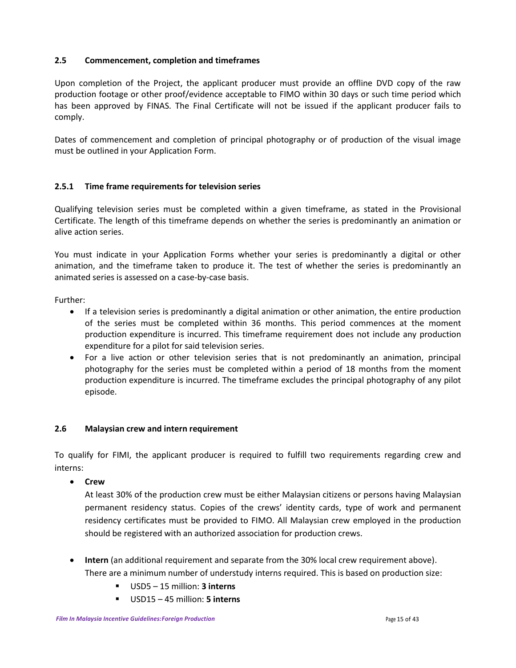# **2.5 Commencement, completion and timeframes**

Upon completion of the Project, the applicant producer must provide an offline DVD copy of the raw production footage or other proof/evidence acceptable to FIMO within 30 days or such time period which has been approved by FINAS. The Final Certificate will not be issued if the applicant producer fails to comply.

Dates of commencement and completion of principal photography or of production of the visual image must be outlined in your Application Form.

# **2.5.1 Time frame requirements for television series**

Qualifying television series must be completed within a given timeframe, as stated in the Provisional Certificate. The length of this timeframe depends on whether the series is predominantly an animation or alive action series.

You must indicate in your Application Forms whether your series is predominantly a digital or other animation, and the timeframe taken to produce it. The test of whether the series is predominantly an animated series is assessed on a case-by-case basis.

Further:

- If a television series is predominantly a digital animation or other animation, the entire production of the series must be completed within 36 months. This period commences at the moment production expenditure is incurred. This timeframe requirement does not include any production expenditure for a pilot for said television series.
- For a live action or other television series that is not predominantly an animation, principal photography for the series must be completed within a period of 18 months from the moment production expenditure is incurred. The timeframe excludes the principal photography of any pilot episode.

## **2.6 Malaysian crew and intern requirement**

To qualify for FIMI, the applicant producer is required to fulfill two requirements regarding crew and interns:

**Crew**

At least 30% of the production crew must be either Malaysian citizens or persons having Malaysian permanent residency status. Copies of the crews' identity cards, type of work and permanent residency certificates must be provided to FIMO. All Malaysian crew employed in the production should be registered with an authorized association for production crews.

- **Intern** (an additional requirement and separate from the 30% local crew requirement above). There are a minimum number of understudy interns required. This is based on production size:
	- USD5 15 million: **3 interns**
	- USD15 45 million: **5 interns**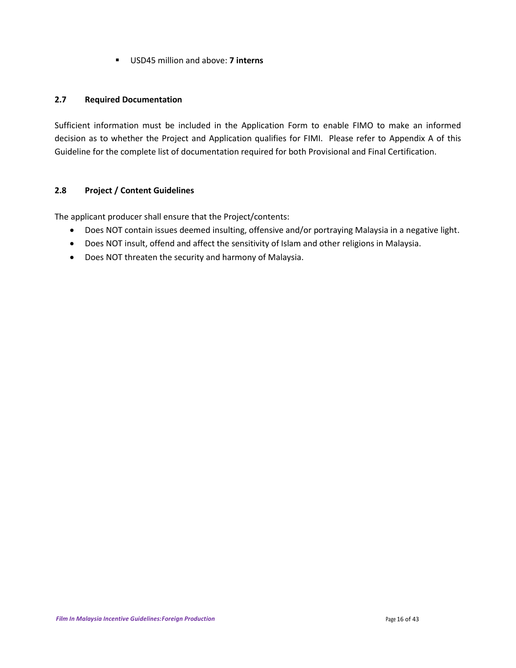USD45 million and above: **7 interns**

## **2.7 Required Documentation**

Sufficient information must be included in the Application Form to enable FIMO to make an informed decision as to whether the Project and Application qualifies for FIMI. Please refer to Appendix A of this Guideline for the complete list of documentation required for both Provisional and Final Certification.

# **2.8 Project / Content Guidelines**

The applicant producer shall ensure that the Project/contents:

- Does NOT contain issues deemed insulting, offensive and/or portraying Malaysia in a negative light.
- Does NOT insult, offend and affect the sensitivity of Islam and other religions in Malaysia.
- Does NOT threaten the security and harmony of Malaysia.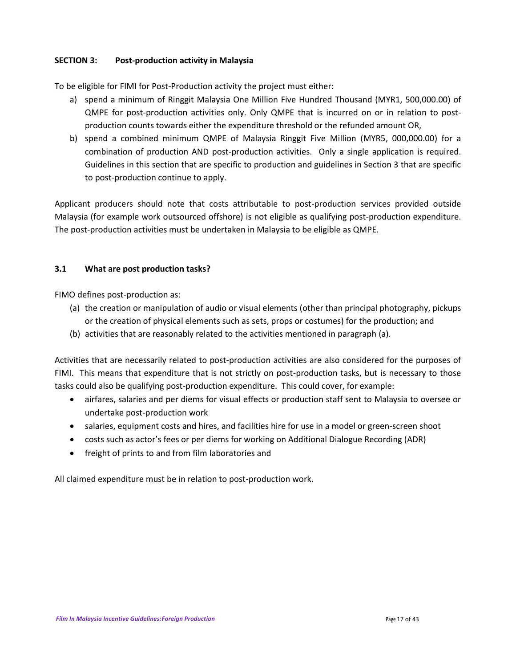# **SECTION 3: Post-production activity in Malaysia**

To be eligible for FIMI for Post-Production activity the project must either:

- a) spend a minimum of Ringgit Malaysia One Million Five Hundred Thousand (MYR1, 500,000.00) of QMPE for post-production activities only. Only QMPE that is incurred on or in relation to postproduction counts towards either the expenditure threshold or the refunded amount OR,
- b) spend a combined minimum QMPE of Malaysia Ringgit Five Million (MYR5, 000,000.00) for a combination of production AND post-production activities. Only a single application is required. Guidelines in this section that are specific to production and guidelines in Section 3 that are specific to post-production continue to apply.

Applicant producers should note that costs attributable to post-production services provided outside Malaysia (for example work outsourced offshore) is not eligible as qualifying post-production expenditure. The post-production activities must be undertaken in Malaysia to be eligible as QMPE.

# **3.1 What are post production tasks?**

FIMO defines post-production as:

- (a) the creation or manipulation of audio or visual elements (other than principal photography, pickups or the creation of physical elements such as sets, props or costumes) for the production; and
- (b) activities that are reasonably related to the activities mentioned in paragraph (a).

Activities that are necessarily related to post-production activities are also considered for the purposes of FIMI. This means that expenditure that is not strictly on post-production tasks, but is necessary to those tasks could also be qualifying post-production expenditure. This could cover, for example:

- airfares, salaries and per diems for visual effects or production staff sent to Malaysia to oversee or undertake post-production work
- salaries, equipment costs and hires, and facilities hire for use in a model or green-screen shoot
- costs such as actor's fees or per diems for working on Additional Dialogue Recording (ADR)
- freight of prints to and from film laboratories and

All claimed expenditure must be in relation to post-production work.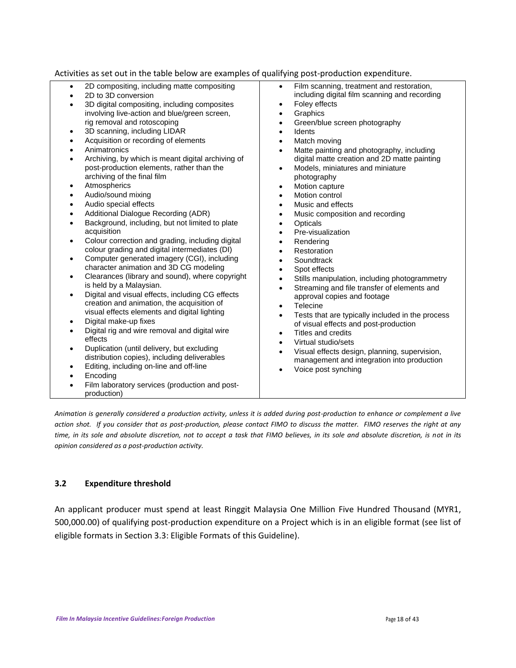Activities as set out in the table below are examples of qualifying post-production expenditure.

- 2D compositing, including matte compositing
- 2D to 3D conversion
- 3D digital compositing, including composites involving live-action and blue/green screen, rig removal and rotoscoping
- 3D scanning, including LIDAR
- Acquisition or recording of elements
- Animatronics
- Archiving, by which is meant digital archiving of post-production elements, rather than the archiving of the final film
- Atmospherics
- Audio/sound mixing
- Audio special effects
- Additional Dialogue Recording (ADR)
- Background, including, but not limited to plate acquisition
- Colour correction and grading, including digital colour grading and digital intermediates (DI)
- Computer generated imagery (CGI), including character animation and 3D CG modeling
- Clearances (library and sound), where copyright is held by a Malaysian.
- Digital and visual effects, including CG effects creation and animation, the acquisition of visual effects elements and digital lighting
- Digital make-up fixes
- Digital rig and wire removal and digital wire effects
- Duplication (until delivery, but excluding distribution copies), including deliverables
- Editing, including on-line and off-line
- Encoding
- Film laboratory services (production and postproduction)
- Film scanning, treatment and restoration, including digital film scanning and recording
- Foley effects
- **Graphics**
- Green/blue screen photography
- Idents
- Match moving
- Matte painting and photography, including digital matte creation and 2D matte painting
- Models, miniatures and miniature photography
- Motion capture
- Motion control
- Music and effects
- Music composition and recording
- **Opticals**
- Pre-visualization
- Rendering
- Restoration
- **Soundtrack**
- Spot effects
- Stills manipulation, including photogrammetry
- Streaming and file transfer of elements and approval copies and footage
- **Telecine**
- Tests that are typically included in the process of visual effects and post-production
- Titles and credits
- Virtual studio/sets
- Visual effects design, planning, supervision, management and integration into production
- Voice post synching

*Animation is generally considered a production activity, unless it is added during post-production to enhance or complement a live action shot. If you consider that as post-production, please contact FIMO to discuss the matter. FIMO reserves the right at any time, in its sole and absolute discretion, not to accept a task that FIMO believes, in its sole and absolute discretion, is not in its opinion considered as a post-production activity.*

#### **3.2 Expenditure threshold**

An applicant producer must spend at least Ringgit Malaysia One Million Five Hundred Thousand (MYR1, 500,000.00) of qualifying post-production expenditure on a Project which is in an eligible format (see list of eligible formats in Section 3.3: Eligible Formats of this Guideline).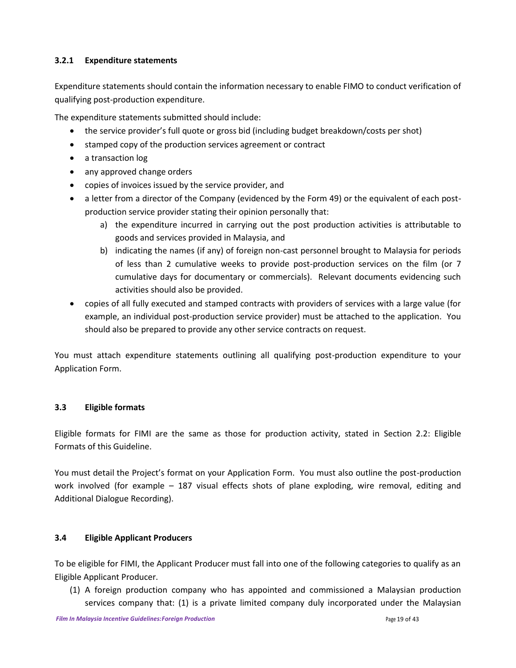# **3.2.1 Expenditure statements**

Expenditure statements should contain the information necessary to enable FIMO to conduct verification of qualifying post-production expenditure.

The expenditure statements submitted should include:

- the service provider's full quote or gross bid (including budget breakdown/costs per shot)
- stamped copy of the production services agreement or contract
- a transaction log
- any approved change orders
- copies of invoices issued by the service provider, and
- a letter from a director of the Company (evidenced by the Form 49) or the equivalent of each postproduction service provider stating their opinion personally that:
	- a) the expenditure incurred in carrying out the post production activities is attributable to goods and services provided in Malaysia, and
	- b) indicating the names (if any) of foreign non-cast personnel brought to Malaysia for periods of less than 2 cumulative weeks to provide post-production services on the film (or 7 cumulative days for documentary or commercials). Relevant documents evidencing such activities should also be provided.
- copies of all fully executed and stamped contracts with providers of services with a large value (for example, an individual post-production service provider) must be attached to the application. You should also be prepared to provide any other service contracts on request.

You must attach expenditure statements outlining all qualifying post-production expenditure to your Application Form.

## **3.3 Eligible formats**

Eligible formats for FIMI are the same as those for production activity, stated in Section 2.2: Eligible Formats of this Guideline.

You must detail the Project's format on your Application Form. You must also outline the post-production work involved (for example – 187 visual effects shots of plane exploding, wire removal, editing and Additional Dialogue Recording).

## **3.4 Eligible Applicant Producers**

To be eligible for FIMI, the Applicant Producer must fall into one of the following categories to qualify as an Eligible Applicant Producer.

(1) A foreign production company who has appointed and commissioned a Malaysian production services company that: (1) is a private limited company duly incorporated under the Malaysian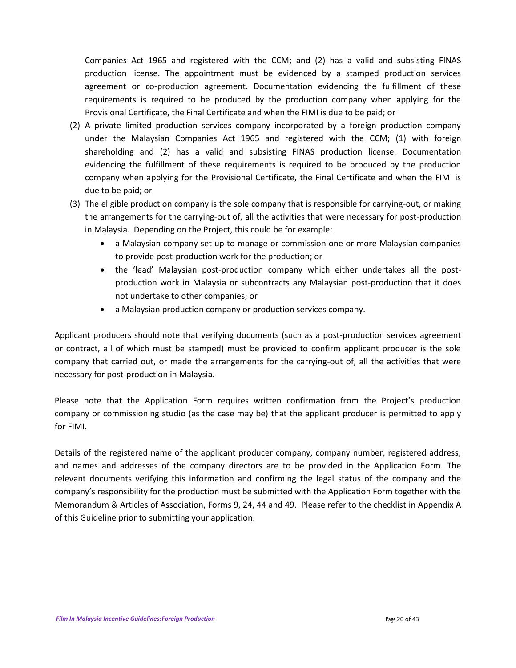Companies Act 1965 and registered with the CCM; and (2) has a valid and subsisting FINAS production license. The appointment must be evidenced by a stamped production services agreement or co-production agreement. Documentation evidencing the fulfillment of these requirements is required to be produced by the production company when applying for the Provisional Certificate, the Final Certificate and when the FIMI is due to be paid; or

- (2) A private limited production services company incorporated by a foreign production company under the Malaysian Companies Act 1965 and registered with the CCM; (1) with foreign shareholding and (2) has a valid and subsisting FINAS production license. Documentation evidencing the fulfillment of these requirements is required to be produced by the production company when applying for the Provisional Certificate, the Final Certificate and when the FIMI is due to be paid; or
- (3) The eligible production company is the sole company that is responsible for carrying-out, or making the arrangements for the carrying-out of, all the activities that were necessary for post-production in Malaysia. Depending on the Project, this could be for example:
	- a Malaysian company set up to manage or commission one or more Malaysian companies to provide post-production work for the production; or
	- the 'lead' Malaysian post-production company which either undertakes all the postproduction work in Malaysia or subcontracts any Malaysian post-production that it does not undertake to other companies; or
	- a Malaysian production company or production services company.

Applicant producers should note that verifying documents (such as a post-production services agreement or contract, all of which must be stamped) must be provided to confirm applicant producer is the sole company that carried out, or made the arrangements for the carrying-out of, all the activities that were necessary for post-production in Malaysia.

Please note that the Application Form requires written confirmation from the Project's production company or commissioning studio (as the case may be) that the applicant producer is permitted to apply for FIMI.

Details of the registered name of the applicant producer company, company number, registered address, and names and addresses of the company directors are to be provided in the Application Form. The relevant documents verifying this information and confirming the legal status of the company and the company's responsibility for the production must be submitted with the Application Form together with the Memorandum & Articles of Association, Forms 9, 24, 44 and 49. Please refer to the checklist in Appendix A of this Guideline prior to submitting your application.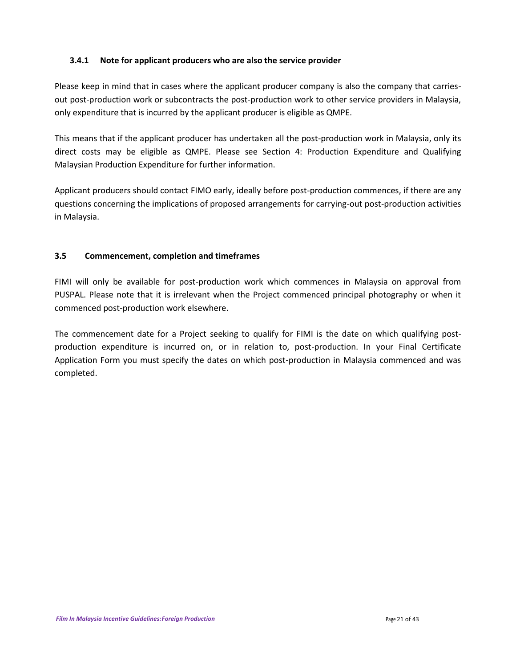# **3.4.1 Note for applicant producers who are also the service provider**

Please keep in mind that in cases where the applicant producer company is also the company that carriesout post-production work or subcontracts the post-production work to other service providers in Malaysia, only expenditure that is incurred by the applicant producer is eligible as QMPE.

This means that if the applicant producer has undertaken all the post-production work in Malaysia, only its direct costs may be eligible as QMPE. Please see Section 4: Production Expenditure and Qualifying Malaysian Production Expenditure for further information.

Applicant producers should contact FIMO early, ideally before post-production commences, if there are any questions concerning the implications of proposed arrangements for carrying-out post-production activities in Malaysia.

# **3.5 Commencement, completion and timeframes**

FIMI will only be available for post-production work which commences in Malaysia on approval from PUSPAL. Please note that it is irrelevant when the Project commenced principal photography or when it commenced post-production work elsewhere.

The commencement date for a Project seeking to qualify for FIMI is the date on which qualifying postproduction expenditure is incurred on, or in relation to, post-production. In your Final Certificate Application Form you must specify the dates on which post-production in Malaysia commenced and was completed.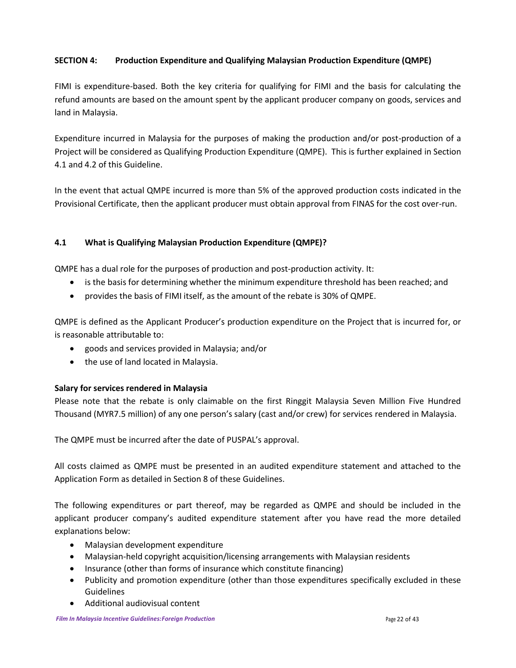# **SECTION 4: Production Expenditure and Qualifying Malaysian Production Expenditure (QMPE)**

FIMI is expenditure-based. Both the key criteria for qualifying for FIMI and the basis for calculating the refund amounts are based on the amount spent by the applicant producer company on goods, services and land in Malaysia.

Expenditure incurred in Malaysia for the purposes of making the production and/or post-production of a Project will be considered as Qualifying Production Expenditure (QMPE). This is further explained in Section 4.1 and 4.2 of this Guideline.

In the event that actual QMPE incurred is more than 5% of the approved production costs indicated in the Provisional Certificate, then the applicant producer must obtain approval from FINAS for the cost over-run.

## **4.1 What is Qualifying Malaysian Production Expenditure (QMPE)?**

QMPE has a dual role for the purposes of production and post-production activity. It:

- is the basis for determining whether the minimum expenditure threshold has been reached; and
- provides the basis of FIMI itself, as the amount of the rebate is 30% of QMPE.

QMPE is defined as the Applicant Producer's production expenditure on the Project that is incurred for, or is reasonable attributable to:

- goods and services provided in Malaysia; and/or
- the use of land located in Malaysia.

## **Salary for services rendered in Malaysia**

Please note that the rebate is only claimable on the first Ringgit Malaysia Seven Million Five Hundred Thousand (MYR7.5 million) of any one person's salary (cast and/or crew) for services rendered in Malaysia.

The QMPE must be incurred after the date of PUSPAL's approval.

All costs claimed as QMPE must be presented in an audited expenditure statement and attached to the Application Form as detailed in Section 8 of these Guidelines.

The following expenditures or part thereof, may be regarded as QMPE and should be included in the applicant producer company's audited expenditure statement after you have read the more detailed explanations below:

- Malaysian development expenditure
- Malaysian-held copyright acquisition/licensing arrangements with Malaysian residents
- Insurance (other than forms of insurance which constitute financing)
- Publicity and promotion expenditure (other than those expenditures specifically excluded in these Guidelines
- Additional audiovisual content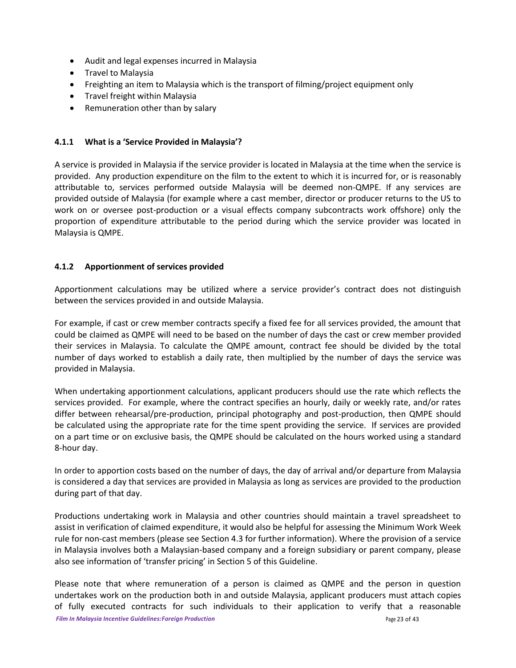- Audit and legal expenses incurred in Malaysia
- Travel to Malaysia
- Freighting an item to Malaysia which is the transport of filming/project equipment only
- Travel freight within Malaysia
- Remuneration other than by salary

## **4.1.1 What is a 'Service Provided in Malaysia'?**

A service is provided in Malaysia if the service provider is located in Malaysia at the time when the service is provided. Any production expenditure on the film to the extent to which it is incurred for, or is reasonably attributable to, services performed outside Malaysia will be deemed non-QMPE. If any services are provided outside of Malaysia (for example where a cast member, director or producer returns to the US to work on or oversee post-production or a visual effects company subcontracts work offshore) only the proportion of expenditure attributable to the period during which the service provider was located in Malaysia is QMPE.

#### **4.1.2 Apportionment of services provided**

Apportionment calculations may be utilized where a service provider's contract does not distinguish between the services provided in and outside Malaysia.

For example, if cast or crew member contracts specify a fixed fee for all services provided, the amount that could be claimed as QMPE will need to be based on the number of days the cast or crew member provided their services in Malaysia. To calculate the QMPE amount, contract fee should be divided by the total number of days worked to establish a daily rate, then multiplied by the number of days the service was provided in Malaysia.

When undertaking apportionment calculations, applicant producers should use the rate which reflects the services provided. For example, where the contract specifies an hourly, daily or weekly rate, and/or rates differ between rehearsal/pre-production, principal photography and post-production, then QMPE should be calculated using the appropriate rate for the time spent providing the service. If services are provided on a part time or on exclusive basis, the QMPE should be calculated on the hours worked using a standard 8-hour day.

In order to apportion costs based on the number of days, the day of arrival and/or departure from Malaysia is considered a day that services are provided in Malaysia as long as services are provided to the production during part of that day.

Productions undertaking work in Malaysia and other countries should maintain a travel spreadsheet to assist in verification of claimed expenditure, it would also be helpful for assessing the Minimum Work Week rule for non-cast members (please see Section 4.3 for further information). Where the provision of a service in Malaysia involves both a Malaysian-based company and a foreign subsidiary or parent company, please also see information of 'transfer pricing' in Section 5 of this Guideline.

Please note that where remuneration of a person is claimed as QMPE and the person in question undertakes work on the production both in and outside Malaysia, applicant producers must attach copies of fully executed contracts for such individuals to their application to verify that a reasonable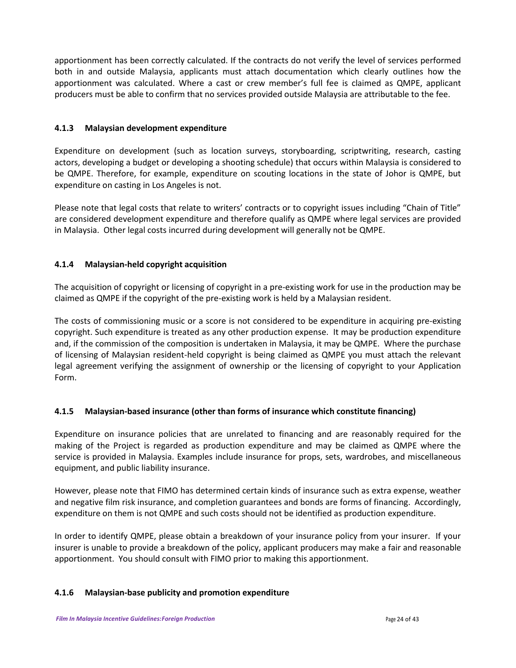apportionment has been correctly calculated. If the contracts do not verify the level of services performed both in and outside Malaysia, applicants must attach documentation which clearly outlines how the apportionment was calculated. Where a cast or crew member's full fee is claimed as QMPE, applicant producers must be able to confirm that no services provided outside Malaysia are attributable to the fee.

# **4.1.3 Malaysian development expenditure**

Expenditure on development (such as location surveys, storyboarding, scriptwriting, research, casting actors, developing a budget or developing a shooting schedule) that occurs within Malaysia is considered to be QMPE. Therefore, for example, expenditure on scouting locations in the state of Johor is QMPE, but expenditure on casting in Los Angeles is not.

Please note that legal costs that relate to writers' contracts or to copyright issues including "Chain of Title" are considered development expenditure and therefore qualify as QMPE where legal services are provided in Malaysia. Other legal costs incurred during development will generally not be QMPE.

# **4.1.4 Malaysian-held copyright acquisition**

The acquisition of copyright or licensing of copyright in a pre-existing work for use in the production may be claimed as QMPE if the copyright of the pre-existing work is held by a Malaysian resident.

The costs of commissioning music or a score is not considered to be expenditure in acquiring pre-existing copyright. Such expenditure is treated as any other production expense. It may be production expenditure and, if the commission of the composition is undertaken in Malaysia, it may be QMPE. Where the purchase of licensing of Malaysian resident-held copyright is being claimed as QMPE you must attach the relevant legal agreement verifying the assignment of ownership or the licensing of copyright to your Application Form.

# **4.1.5 Malaysian-based insurance (other than forms of insurance which constitute financing)**

Expenditure on insurance policies that are unrelated to financing and are reasonably required for the making of the Project is regarded as production expenditure and may be claimed as QMPE where the service is provided in Malaysia. Examples include insurance for props, sets, wardrobes, and miscellaneous equipment, and public liability insurance.

However, please note that FIMO has determined certain kinds of insurance such as extra expense, weather and negative film risk insurance, and completion guarantees and bonds are forms of financing. Accordingly, expenditure on them is not QMPE and such costs should not be identified as production expenditure.

In order to identify QMPE, please obtain a breakdown of your insurance policy from your insurer. If your insurer is unable to provide a breakdown of the policy, applicant producers may make a fair and reasonable apportionment. You should consult with FIMO prior to making this apportionment.

## **4.1.6 Malaysian-base publicity and promotion expenditure**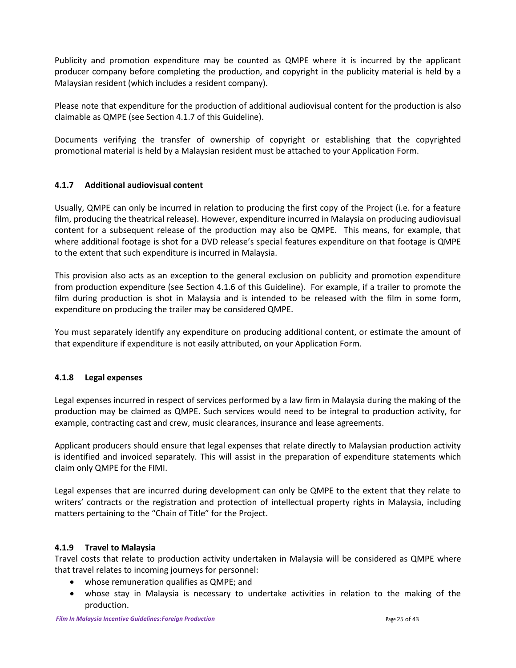Publicity and promotion expenditure may be counted as QMPE where it is incurred by the applicant producer company before completing the production, and copyright in the publicity material is held by a Malaysian resident (which includes a resident company).

Please note that expenditure for the production of additional audiovisual content for the production is also claimable as QMPE (see Section 4.1.7 of this Guideline).

Documents verifying the transfer of ownership of copyright or establishing that the copyrighted promotional material is held by a Malaysian resident must be attached to your Application Form.

# **4.1.7 Additional audiovisual content**

Usually, QMPE can only be incurred in relation to producing the first copy of the Project (i.e. for a feature film, producing the theatrical release). However, expenditure incurred in Malaysia on producing audiovisual content for a subsequent release of the production may also be QMPE. This means, for example, that where additional footage is shot for a DVD release's special features expenditure on that footage is QMPE to the extent that such expenditure is incurred in Malaysia.

This provision also acts as an exception to the general exclusion on publicity and promotion expenditure from production expenditure (see Section 4.1.6 of this Guideline). For example, if a trailer to promote the film during production is shot in Malaysia and is intended to be released with the film in some form, expenditure on producing the trailer may be considered QMPE.

You must separately identify any expenditure on producing additional content, or estimate the amount of that expenditure if expenditure is not easily attributed, on your Application Form.

# **4.1.8 Legal expenses**

Legal expenses incurred in respect of services performed by a law firm in Malaysia during the making of the production may be claimed as QMPE. Such services would need to be integral to production activity, for example, contracting cast and crew, music clearances, insurance and lease agreements.

Applicant producers should ensure that legal expenses that relate directly to Malaysian production activity is identified and invoiced separately. This will assist in the preparation of expenditure statements which claim only QMPE for the FIMI.

Legal expenses that are incurred during development can only be QMPE to the extent that they relate to writers' contracts or the registration and protection of intellectual property rights in Malaysia, including matters pertaining to the "Chain of Title" for the Project.

## **4.1.9 Travel to Malaysia**

Travel costs that relate to production activity undertaken in Malaysia will be considered as QMPE where that travel relates to incoming journeys for personnel:

- whose remuneration qualifies as QMPE; and
- whose stay in Malaysia is necessary to undertake activities in relation to the making of the production.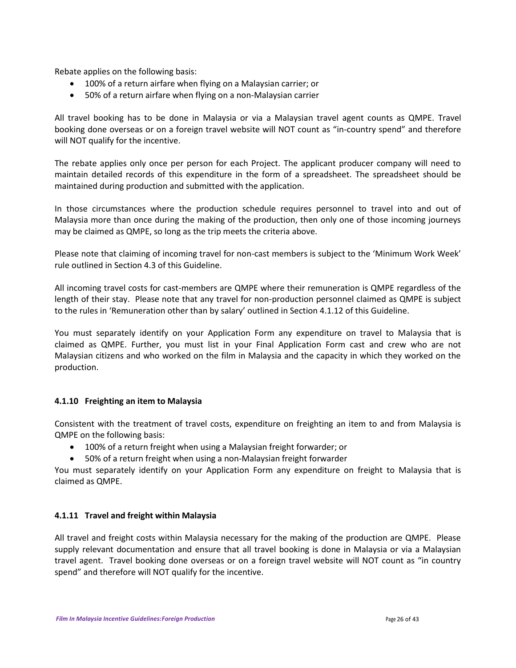Rebate applies on the following basis:

- 100% of a return airfare when flying on a Malaysian carrier; or
- 50% of a return airfare when flying on a non-Malaysian carrier

All travel booking has to be done in Malaysia or via a Malaysian travel agent counts as QMPE. Travel booking done overseas or on a foreign travel website will NOT count as "in-country spend" and therefore will NOT qualify for the incentive.

The rebate applies only once per person for each Project. The applicant producer company will need to maintain detailed records of this expenditure in the form of a spreadsheet. The spreadsheet should be maintained during production and submitted with the application.

In those circumstances where the production schedule requires personnel to travel into and out of Malaysia more than once during the making of the production, then only one of those incoming journeys may be claimed as QMPE, so long as the trip meets the criteria above.

Please note that claiming of incoming travel for non-cast members is subject to the 'Minimum Work Week' rule outlined in Section 4.3 of this Guideline.

All incoming travel costs for cast-members are QMPE where their remuneration is QMPE regardless of the length of their stay. Please note that any travel for non-production personnel claimed as QMPE is subject to the rules in 'Remuneration other than by salary' outlined in Section 4.1.12 of this Guideline.

You must separately identify on your Application Form any expenditure on travel to Malaysia that is claimed as QMPE. Further, you must list in your Final Application Form cast and crew who are not Malaysian citizens and who worked on the film in Malaysia and the capacity in which they worked on the production.

## **4.1.10 Freighting an item to Malaysia**

Consistent with the treatment of travel costs, expenditure on freighting an item to and from Malaysia is QMPE on the following basis:

- 100% of a return freight when using a Malaysian freight forwarder; or
- 50% of a return freight when using a non-Malaysian freight forwarder

You must separately identify on your Application Form any expenditure on freight to Malaysia that is claimed as QMPE.

#### **4.1.11 Travel and freight within Malaysia**

All travel and freight costs within Malaysia necessary for the making of the production are QMPE. Please supply relevant documentation and ensure that all travel booking is done in Malaysia or via a Malaysian travel agent. Travel booking done overseas or on a foreign travel website will NOT count as "in country spend" and therefore will NOT qualify for the incentive.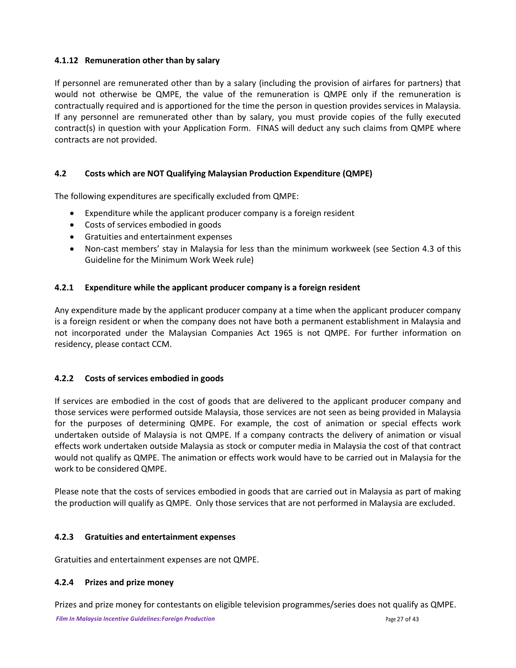# **4.1.12 Remuneration other than by salary**

If personnel are remunerated other than by a salary (including the provision of airfares for partners) that would not otherwise be QMPE, the value of the remuneration is QMPE only if the remuneration is contractually required and is apportioned for the time the person in question provides services in Malaysia. If any personnel are remunerated other than by salary, you must provide copies of the fully executed contract(s) in question with your Application Form. FINAS will deduct any such claims from QMPE where contracts are not provided.

# **4.2 Costs which are NOT Qualifying Malaysian Production Expenditure (QMPE)**

The following expenditures are specifically excluded from QMPE:

- Expenditure while the applicant producer company is a foreign resident
- Costs of services embodied in goods
- Gratuities and entertainment expenses
- Non-cast members' stay in Malaysia for less than the minimum workweek (see Section 4.3 of this Guideline for the Minimum Work Week rule)

## **4.2.1 Expenditure while the applicant producer company is a foreign resident**

Any expenditure made by the applicant producer company at a time when the applicant producer company is a foreign resident or when the company does not have both a permanent establishment in Malaysia and not incorporated under the Malaysian Companies Act 1965 is not QMPE. For further information on residency, please contact CCM.

## **4.2.2 Costs of services embodied in goods**

If services are embodied in the cost of goods that are delivered to the applicant producer company and those services were performed outside Malaysia, those services are not seen as being provided in Malaysia for the purposes of determining QMPE. For example, the cost of animation or special effects work undertaken outside of Malaysia is not QMPE. If a company contracts the delivery of animation or visual effects work undertaken outside Malaysia as stock or computer media in Malaysia the cost of that contract would not qualify as QMPE. The animation or effects work would have to be carried out in Malaysia for the work to be considered QMPE.

Please note that the costs of services embodied in goods that are carried out in Malaysia as part of making the production will qualify as QMPE. Only those services that are not performed in Malaysia are excluded.

## **4.2.3 Gratuities and entertainment expenses**

Gratuities and entertainment expenses are not QMPE.

## **4.2.4 Prizes and prize money**

Prizes and prize money for contestants on eligible television programmes/series does not qualify as QMPE.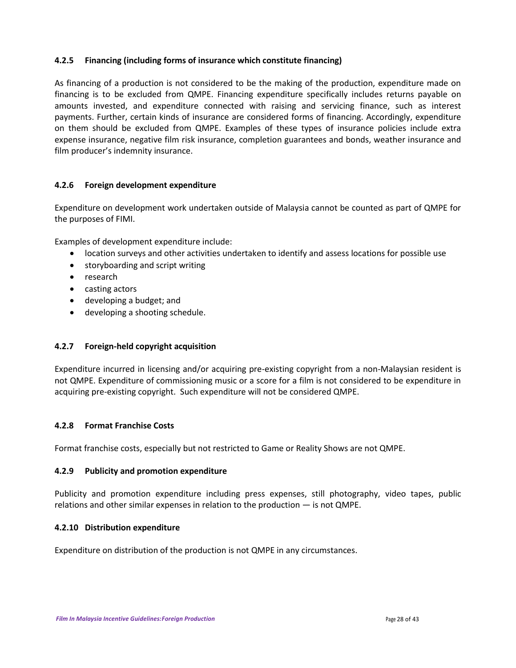# **4.2.5 Financing (including forms of insurance which constitute financing)**

As financing of a production is not considered to be the making of the production, expenditure made on financing is to be excluded from QMPE. Financing expenditure specifically includes returns payable on amounts invested, and expenditure connected with raising and servicing finance, such as interest payments. Further, certain kinds of insurance are considered forms of financing. Accordingly, expenditure on them should be excluded from QMPE. Examples of these types of insurance policies include extra expense insurance, negative film risk insurance, completion guarantees and bonds, weather insurance and film producer's indemnity insurance.

## **4.2.6 Foreign development expenditure**

Expenditure on development work undertaken outside of Malaysia cannot be counted as part of QMPE for the purposes of FIMI.

Examples of development expenditure include:

- location surveys and other activities undertaken to identify and assess locations for possible use
- storyboarding and script writing
- research
- casting actors
- developing a budget; and
- developing a shooting schedule.

#### **4.2.7 Foreign-held copyright acquisition**

Expenditure incurred in licensing and/or acquiring pre-existing copyright from a non-Malaysian resident is not QMPE. Expenditure of commissioning music or a score for a film is not considered to be expenditure in acquiring pre-existing copyright. Such expenditure will not be considered QMPE.

#### **4.2.8 Format Franchise Costs**

Format franchise costs, especially but not restricted to Game or Reality Shows are not QMPE.

#### **4.2.9 Publicity and promotion expenditure**

Publicity and promotion expenditure including press expenses, still photography, video tapes, public relations and other similar expenses in relation to the production — is not QMPE.

#### **4.2.10 Distribution expenditure**

Expenditure on distribution of the production is not QMPE in any circumstances.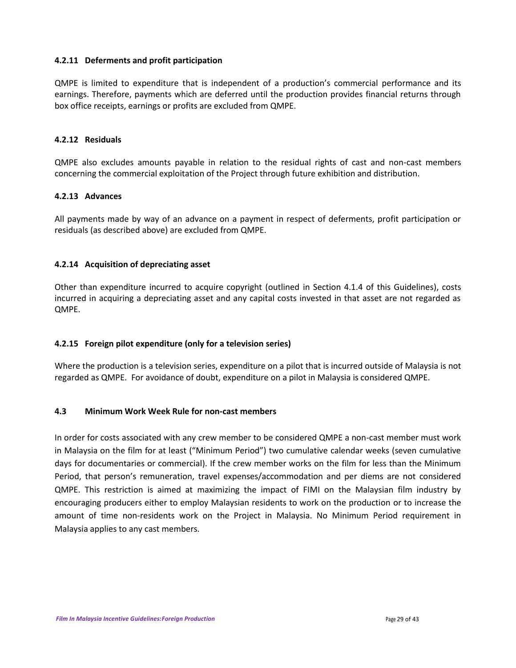### **4.2.11 Deferments and profit participation**

QMPE is limited to expenditure that is independent of a production's commercial performance and its earnings. Therefore, payments which are deferred until the production provides financial returns through box office receipts, earnings or profits are excluded from QMPE.

#### **4.2.12 Residuals**

QMPE also excludes amounts payable in relation to the residual rights of cast and non-cast members concerning the commercial exploitation of the Project through future exhibition and distribution.

#### **4.2.13 Advances**

All payments made by way of an advance on a payment in respect of deferments, profit participation or residuals (as described above) are excluded from QMPE.

## **4.2.14 Acquisition of depreciating asset**

Other than expenditure incurred to acquire copyright (outlined in Section 4.1.4 of this Guidelines), costs incurred in acquiring a depreciating asset and any capital costs invested in that asset are not regarded as QMPE.

## **4.2.15 Foreign pilot expenditure (only for a television series)**

Where the production is a television series, expenditure on a pilot that is incurred outside of Malaysia is not regarded as QMPE. For avoidance of doubt, expenditure on a pilot in Malaysia is considered QMPE.

## **4.3 Minimum Work Week Rule for non-cast members**

In order for costs associated with any crew member to be considered QMPE a non-cast member must work in Malaysia on the film for at least ("Minimum Period") two cumulative calendar weeks (seven cumulative days for documentaries or commercial). If the crew member works on the film for less than the Minimum Period, that person's remuneration, travel expenses/accommodation and per diems are not considered QMPE. This restriction is aimed at maximizing the impact of FIMI on the Malaysian film industry by encouraging producers either to employ Malaysian residents to work on the production or to increase the amount of time non-residents work on the Project in Malaysia. No Minimum Period requirement in Malaysia applies to any cast members.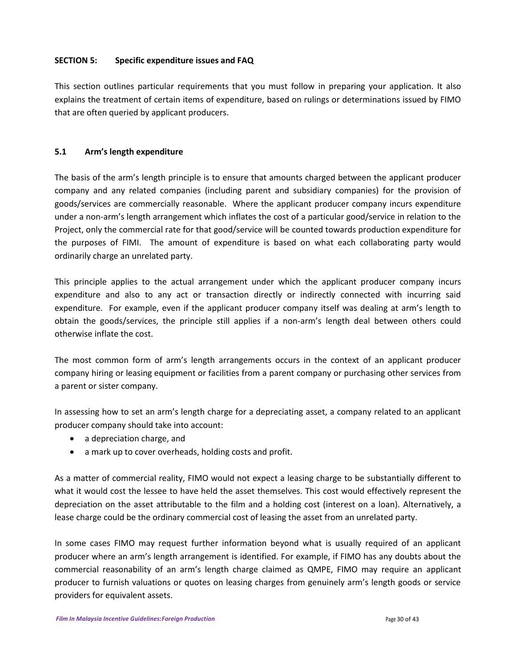## **SECTION 5: Specific expenditure issues and FAQ**

This section outlines particular requirements that you must follow in preparing your application. It also explains the treatment of certain items of expenditure, based on rulings or determinations issued by FIMO that are often queried by applicant producers.

## **5.1 Arm's length expenditure**

The basis of the arm's length principle is to ensure that amounts charged between the applicant producer company and any related companies (including parent and subsidiary companies) for the provision of goods/services are commercially reasonable. Where the applicant producer company incurs expenditure under a non-arm's length arrangement which inflates the cost of a particular good/service in relation to the Project, only the commercial rate for that good/service will be counted towards production expenditure for the purposes of FIMI. The amount of expenditure is based on what each collaborating party would ordinarily charge an unrelated party.

This principle applies to the actual arrangement under which the applicant producer company incurs expenditure and also to any act or transaction directly or indirectly connected with incurring said expenditure. For example, even if the applicant producer company itself was dealing at arm's length to obtain the goods/services, the principle still applies if a non-arm's length deal between others could otherwise inflate the cost.

The most common form of arm's length arrangements occurs in the context of an applicant producer company hiring or leasing equipment or facilities from a parent company or purchasing other services from a parent or sister company.

In assessing how to set an arm's length charge for a depreciating asset, a company related to an applicant producer company should take into account:

- a depreciation charge, and
- a mark up to cover overheads, holding costs and profit.

As a matter of commercial reality, FIMO would not expect a leasing charge to be substantially different to what it would cost the lessee to have held the asset themselves. This cost would effectively represent the depreciation on the asset attributable to the film and a holding cost (interest on a loan). Alternatively, a lease charge could be the ordinary commercial cost of leasing the asset from an unrelated party.

In some cases FIMO may request further information beyond what is usually required of an applicant producer where an arm's length arrangement is identified. For example, if FIMO has any doubts about the commercial reasonability of an arm's length charge claimed as QMPE, FIMO may require an applicant producer to furnish valuations or quotes on leasing charges from genuinely arm's length goods or service providers for equivalent assets.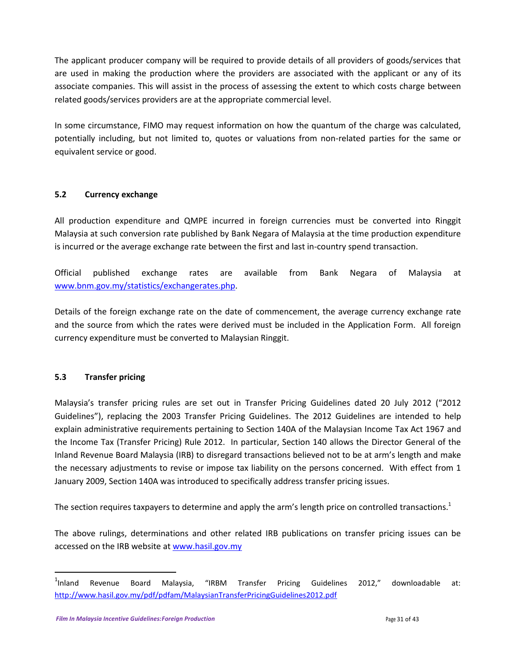The applicant producer company will be required to provide details of all providers of goods/services that are used in making the production where the providers are associated with the applicant or any of its associate companies. This will assist in the process of assessing the extent to which costs charge between related goods/services providers are at the appropriate commercial level.

In some circumstance, FIMO may request information on how the quantum of the charge was calculated, potentially including, but not limited to, quotes or valuations from non-related parties for the same or equivalent service or good.

# **5.2 Currency exchange**

All production expenditure and QMPE incurred in foreign currencies must be converted into Ringgit Malaysia at such conversion rate published by Bank Negara of Malaysia at the time production expenditure is incurred or the average exchange rate between the first and last in-country spend transaction.

Official published exchange rates are available from Bank Negara of Malaysia at [www.bnm.gov.my/statistics/exchangerates.php.](http://www.bnm.gov.my/statistics/exchangerates.php)

Details of the foreign exchange rate on the date of commencement, the average currency exchange rate and the source from which the rates were derived must be included in the Application Form. All foreign currency expenditure must be converted to Malaysian Ringgit.

# **5.3 Transfer pricing**

 $\overline{a}$ 

Malaysia's transfer pricing rules are set out in Transfer Pricing Guidelines dated 20 July 2012 ("2012 Guidelines"), replacing the 2003 Transfer Pricing Guidelines. The 2012 Guidelines are intended to help explain administrative requirements pertaining to Section 140A of the Malaysian Income Tax Act 1967 and the Income Tax (Transfer Pricing) Rule 2012. In particular, Section 140 allows the Director General of the Inland Revenue Board Malaysia (IRB) to disregard transactions believed not to be at arm's length and make the necessary adjustments to revise or impose tax liability on the persons concerned. With effect from 1 January 2009, Section 140A was introduced to specifically address transfer pricing issues.

The section requires taxpayers to determine and apply the arm's length price on controlled transactions.<sup>1</sup>

The above rulings, determinations and other related IRB publications on transfer pricing issues can be accessed on the IRB website at [www.hasil.gov.my](http://www.hasil.gov.my/)

 $1$ Inland Revenue Board Malaysia, "IRBM Transfer Pricing Guidelines 2012," downloadable at: <http://www.hasil.gov.my/pdf/pdfam/MalaysianTransferPricingGuidelines2012.pdf>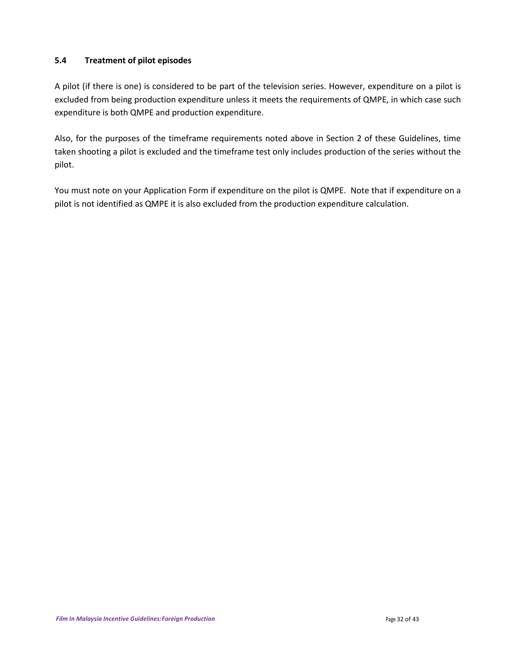# **5.4 Treatment of pilot episodes**

A pilot (if there is one) is considered to be part of the television series. However, expenditure on a pilot is excluded from being production expenditure unless it meets the requirements of QMPE, in which case such expenditure is both QMPE and production expenditure.

Also, for the purposes of the timeframe requirements noted above in Section 2 of these Guidelines, time taken shooting a pilot is excluded and the timeframe test only includes production of the series without the pilot.

You must note on your Application Form if expenditure on the pilot is QMPE. Note that if expenditure on a pilot is not identified as QMPE it is also excluded from the production expenditure calculation.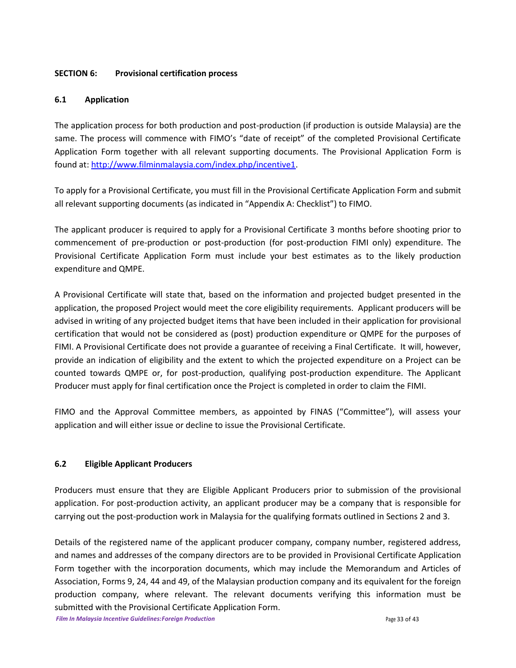## **SECTION 6: Provisional certification process**

# **6.1 Application**

The application process for both production and post-production (if production is outside Malaysia) are the same. The process will commence with FIMO's "date of receipt" of the completed Provisional Certificate Application Form together with all relevant supporting documents. The Provisional Application Form is found at: [http://www.filminmalaysia.com/index.php/incentive1.](http://www.filminmalaysia.com/index.php/incentive1)

To apply for a Provisional Certificate, you must fill in the Provisional Certificate Application Form and submit all relevant supporting documents (as indicated in "Appendix A: Checklist") to FIMO.

The applicant producer is required to apply for a Provisional Certificate 3 months before shooting prior to commencement of pre-production or post-production (for post-production FIMI only) expenditure. The Provisional Certificate Application Form must include your best estimates as to the likely production expenditure and QMPE.

A Provisional Certificate will state that, based on the information and projected budget presented in the application, the proposed Project would meet the core eligibility requirements. Applicant producers will be advised in writing of any projected budget items that have been included in their application for provisional certification that would not be considered as (post) production expenditure or QMPE for the purposes of FIMI. A Provisional Certificate does not provide a guarantee of receiving a Final Certificate. It will, however, provide an indication of eligibility and the extent to which the projected expenditure on a Project can be counted towards QMPE or, for post-production, qualifying post-production expenditure. The Applicant Producer must apply for final certification once the Project is completed in order to claim the FIMI.

FIMO and the Approval Committee members, as appointed by FINAS ("Committee"), will assess your application and will either issue or decline to issue the Provisional Certificate.

# **6.2 Eligible Applicant Producers**

Producers must ensure that they are Eligible Applicant Producers prior to submission of the provisional application. For post-production activity, an applicant producer may be a company that is responsible for carrying out the post-production work in Malaysia for the qualifying formats outlined in Sections 2 and 3.

Details of the registered name of the applicant producer company, company number, registered address, and names and addresses of the company directors are to be provided in Provisional Certificate Application Form together with the incorporation documents, which may include the Memorandum and Articles of Association, Forms 9, 24, 44 and 49, of the Malaysian production company and its equivalent for the foreign production company, where relevant. The relevant documents verifying this information must be submitted with the Provisional Certificate Application Form.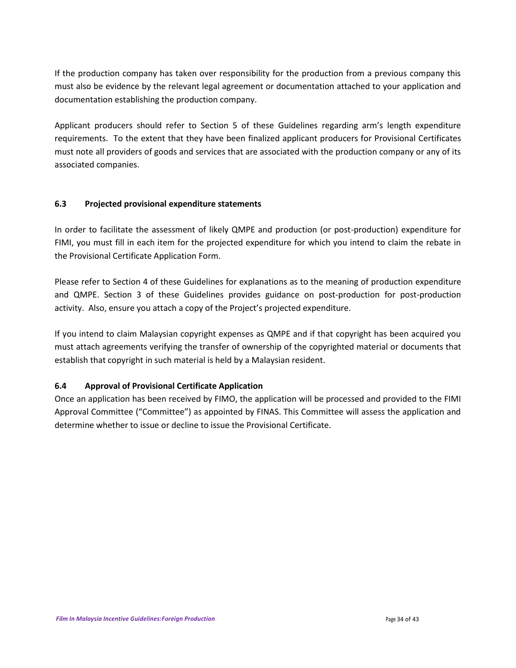If the production company has taken over responsibility for the production from a previous company this must also be evidence by the relevant legal agreement or documentation attached to your application and documentation establishing the production company.

Applicant producers should refer to Section 5 of these Guidelines regarding arm's length expenditure requirements. To the extent that they have been finalized applicant producers for Provisional Certificates must note all providers of goods and services that are associated with the production company or any of its associated companies.

# **6.3 Projected provisional expenditure statements**

In order to facilitate the assessment of likely QMPE and production (or post-production) expenditure for FIMI, you must fill in each item for the projected expenditure for which you intend to claim the rebate in the Provisional Certificate Application Form.

Please refer to Section 4 of these Guidelines for explanations as to the meaning of production expenditure and QMPE. Section 3 of these Guidelines provides guidance on post-production for post-production activity. Also, ensure you attach a copy of the Project's projected expenditure.

If you intend to claim Malaysian copyright expenses as QMPE and if that copyright has been acquired you must attach agreements verifying the transfer of ownership of the copyrighted material or documents that establish that copyright in such material is held by a Malaysian resident.

## **6.4 Approval of Provisional Certificate Application**

Once an application has been received by FIMO, the application will be processed and provided to the FIMI Approval Committee ("Committee") as appointed by FINAS. This Committee will assess the application and determine whether to issue or decline to issue the Provisional Certificate.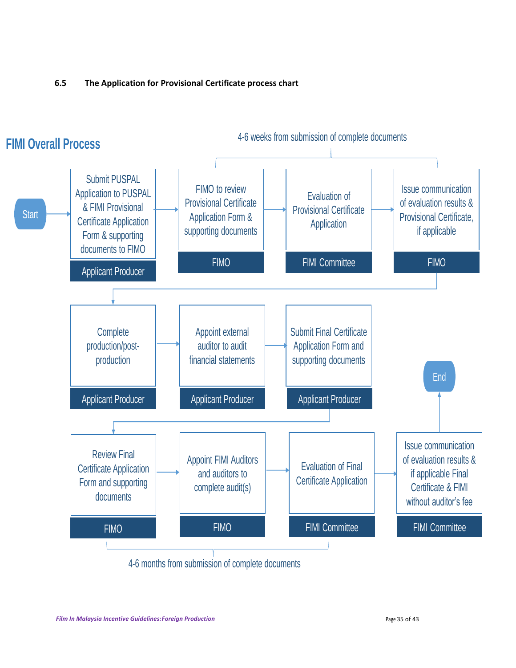# **6.5 The Application for Provisional Certificate process chart**

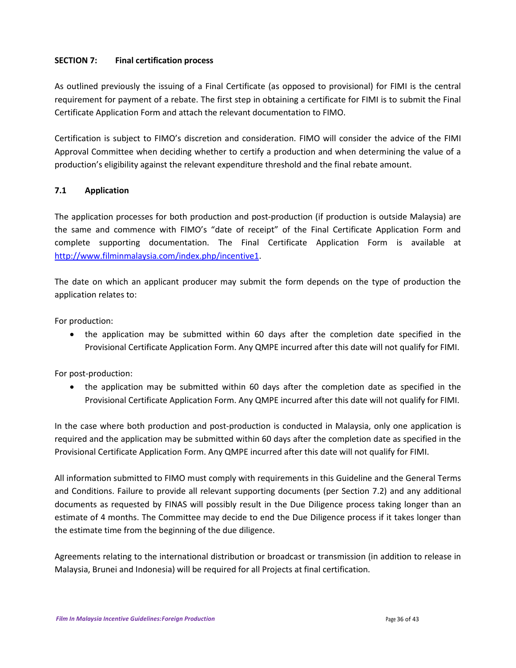## **SECTION 7: Final certification process**

As outlined previously the issuing of a Final Certificate (as opposed to provisional) for FIMI is the central requirement for payment of a rebate. The first step in obtaining a certificate for FIMI is to submit the Final Certificate Application Form and attach the relevant documentation to FIMO.

Certification is subject to FIMO's discretion and consideration. FIMO will consider the advice of the FIMI Approval Committee when deciding whether to certify a production and when determining the value of a production's eligibility against the relevant expenditure threshold and the final rebate amount.

# **7.1 Application**

The application processes for both production and post-production (if production is outside Malaysia) are the same and commence with FIMO's "date of receipt" of the Final Certificate Application Form and complete supporting documentation. The Final Certificate Application Form is available at [http://www.filminmalaysia.com/index.php/incentive1.](http://www.filminmalaysia.com/index.php/incentive1)

The date on which an applicant producer may submit the form depends on the type of production the application relates to:

For production:

 the application may be submitted within 60 days after the completion date specified in the Provisional Certificate Application Form. Any QMPE incurred after this date will not qualify for FIMI.

For post-production:

 the application may be submitted within 60 days after the completion date as specified in the Provisional Certificate Application Form. Any QMPE incurred after this date will not qualify for FIMI.

In the case where both production and post-production is conducted in Malaysia, only one application is required and the application may be submitted within 60 days after the completion date as specified in the Provisional Certificate Application Form. Any QMPE incurred after this date will not qualify for FIMI.

All information submitted to FIMO must comply with requirements in this Guideline and the General Terms and Conditions. Failure to provide all relevant supporting documents (per Section 7.2) and any additional documents as requested by FINAS will possibly result in the Due Diligence process taking longer than an estimate of 4 months. The Committee may decide to end the Due Diligence process if it takes longer than the estimate time from the beginning of the due diligence.

Agreements relating to the international distribution or broadcast or transmission (in addition to release in Malaysia, Brunei and Indonesia) will be required for all Projects at final certification.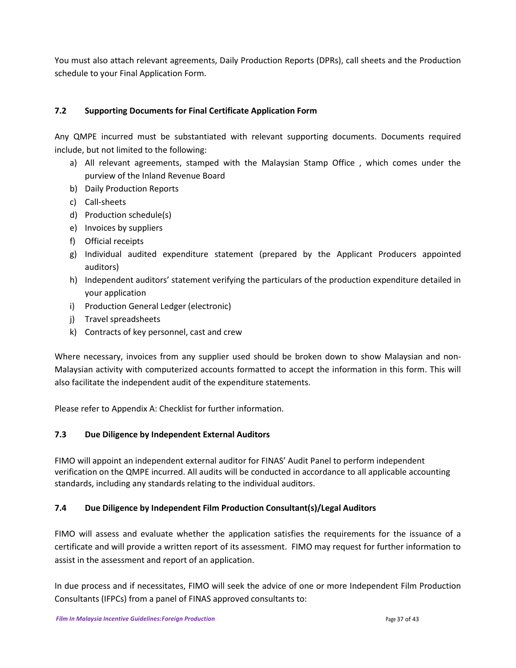You must also attach relevant agreements, Daily Production Reports (DPRs), call sheets and the Production schedule to your Final Application Form.

# **7.2 Supporting Documents for Final Certificate Application Form**

Any QMPE incurred must be substantiated with relevant supporting documents. Documents required include, but not limited to the following:

- a) All relevant agreements, stamped with the Malaysian Stamp Office , which comes under the purview of the Inland Revenue Board
- b) Daily Production Reports
- c) Call-sheets
- d) Production schedule(s)
- e) Invoices by suppliers
- f) Official receipts
- g) Individual audited expenditure statement (prepared by the Applicant Producers appointed auditors)
- h) Independent auditors' statement verifying the particulars of the production expenditure detailed in your application
- i) Production General Ledger (electronic)
- j) Travel spreadsheets
- k) Contracts of key personnel, cast and crew

Where necessary, invoices from any supplier used should be broken down to show Malaysian and non-Malaysian activity with computerized accounts formatted to accept the information in this form. This will also facilitate the independent audit of the expenditure statements.

Please refer to Appendix A: Checklist for further information.

# **7.3 Due Diligence by Independent External Auditors**

FIMO will appoint an independent external auditor for FINAS' Audit Panel to perform independent verification on the QMPE incurred. All audits will be conducted in accordance to all applicable accounting standards, including any standards relating to the individual auditors.

# **7.4 Due Diligence by Independent Film Production Consultant(s)/Legal Auditors**

FIMO will assess and evaluate whether the application satisfies the requirements for the issuance of a certificate and will provide a written report of its assessment. FIMO may request for further information to assist in the assessment and report of an application.

In due process and if necessitates, FIMO will seek the advice of one or more Independent Film Production Consultants (IFPCs) from a panel of FINAS approved consultants to: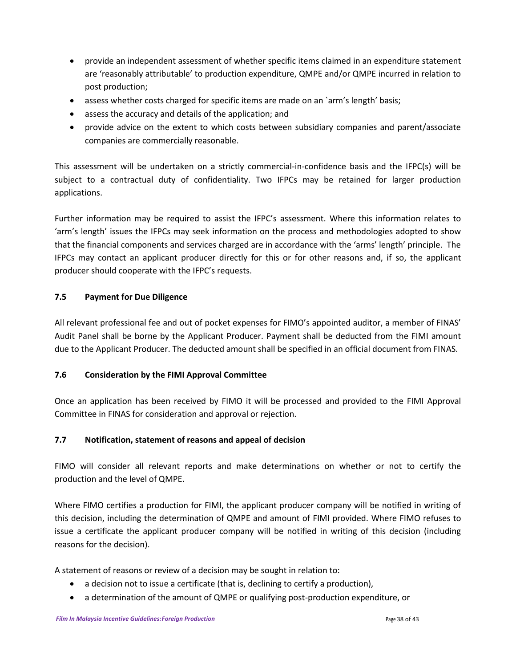- provide an independent assessment of whether specific items claimed in an expenditure statement are 'reasonably attributable' to production expenditure, QMPE and/or QMPE incurred in relation to post production;
- assess whether costs charged for specific items are made on an `arm's length' basis;
- assess the accuracy and details of the application; and
- provide advice on the extent to which costs between subsidiary companies and parent/associate companies are commercially reasonable.

This assessment will be undertaken on a strictly commercial-in-confidence basis and the IFPC(s) will be subject to a contractual duty of confidentiality. Two IFPCs may be retained for larger production applications.

Further information may be required to assist the IFPC's assessment. Where this information relates to 'arm's length' issues the IFPCs may seek information on the process and methodologies adopted to show that the financial components and services charged are in accordance with the 'arms' length' principle. The IFPCs may contact an applicant producer directly for this or for other reasons and, if so, the applicant producer should cooperate with the IFPC's requests.

# **7.5 Payment for Due Diligence**

All relevant professional fee and out of pocket expenses for FIMO's appointed auditor, a member of FINAS' Audit Panel shall be borne by the Applicant Producer. Payment shall be deducted from the FIMI amount due to the Applicant Producer. The deducted amount shall be specified in an official document from FINAS.

# **7.6 Consideration by the FIMI Approval Committee**

Once an application has been received by FIMO it will be processed and provided to the FIMI Approval Committee in FINAS for consideration and approval or rejection.

# **7.7 Notification, statement of reasons and appeal of decision**

FIMO will consider all relevant reports and make determinations on whether or not to certify the production and the level of QMPE.

Where FIMO certifies a production for FIMI, the applicant producer company will be notified in writing of this decision, including the determination of QMPE and amount of FIMI provided. Where FIMO refuses to issue a certificate the applicant producer company will be notified in writing of this decision (including reasons for the decision).

A statement of reasons or review of a decision may be sought in relation to:

- a decision not to issue a certificate (that is, declining to certify a production),
- a determination of the amount of QMPE or qualifying post-production expenditure, or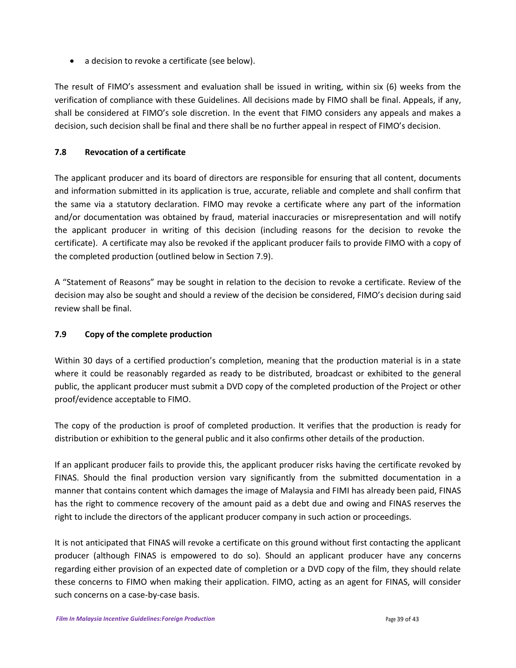a decision to revoke a certificate (see below).

The result of FIMO's assessment and evaluation shall be issued in writing, within six (6) weeks from the verification of compliance with these Guidelines. All decisions made by FIMO shall be final. Appeals, if any, shall be considered at FIMO's sole discretion. In the event that FIMO considers any appeals and makes a decision, such decision shall be final and there shall be no further appeal in respect of FIMO's decision.

# **7.8 Revocation of a certificate**

The applicant producer and its board of directors are responsible for ensuring that all content, documents and information submitted in its application is true, accurate, reliable and complete and shall confirm that the same via a statutory declaration. FIMO may revoke a certificate where any part of the information and/or documentation was obtained by fraud, material inaccuracies or misrepresentation and will notify the applicant producer in writing of this decision (including reasons for the decision to revoke the certificate). A certificate may also be revoked if the applicant producer fails to provide FIMO with a copy of the completed production (outlined below in Section 7.9).

A "Statement of Reasons" may be sought in relation to the decision to revoke a certificate. Review of the decision may also be sought and should a review of the decision be considered, FIMO's decision during said review shall be final.

# **7.9 Copy of the complete production**

Within 30 days of a certified production's completion, meaning that the production material is in a state where it could be reasonably regarded as ready to be distributed, broadcast or exhibited to the general public, the applicant producer must submit a DVD copy of the completed production of the Project or other proof/evidence acceptable to FIMO.

The copy of the production is proof of completed production. It verifies that the production is ready for distribution or exhibition to the general public and it also confirms other details of the production.

If an applicant producer fails to provide this, the applicant producer risks having the certificate revoked by FINAS. Should the final production version vary significantly from the submitted documentation in a manner that contains content which damages the image of Malaysia and FIMI has already been paid, FINAS has the right to commence recovery of the amount paid as a debt due and owing and FINAS reserves the right to include the directors of the applicant producer company in such action or proceedings.

It is not anticipated that FINAS will revoke a certificate on this ground without first contacting the applicant producer (although FINAS is empowered to do so). Should an applicant producer have any concerns regarding either provision of an expected date of completion or a DVD copy of the film, they should relate these concerns to FIMO when making their application. FIMO, acting as an agent for FINAS, will consider such concerns on a case-by-case basis.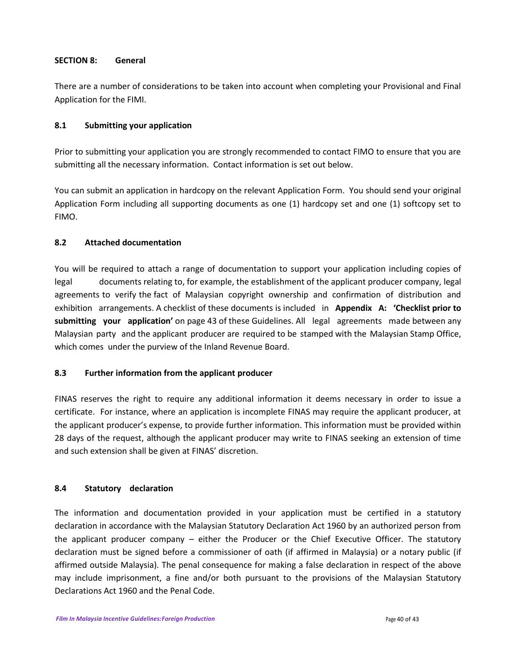### **SECTION 8: General**

There are a number of considerations to be taken into account when completing your Provisional and Final Application for the FIMI.

## **8.1 Submitting your application**

Prior to submitting your application you are strongly recommended to contact FIMO to ensure that you are submitting all the necessary information. Contact information is set out below.

You can submit an application in hardcopy on the relevant Application Form. You should send your original Application Form including all supporting documents as one (1) hardcopy set and one (1) softcopy set to FIMO.

# **8.2 Attached documentation**

You will be required to attach a range of documentation to support your application including copies of legal documents relating to, for example, the establishment of the applicant producer company, legal agreements to verify the fact of Malaysian copyright ownership and confirmation of distribution and exhibition arrangements. A checklist of these documents is included in **Appendix A: 'Checklist prior to submitting your application'** on page 43 of these Guidelines. All legal agreements made between any Malaysian party and the applicant producer are required to be stamped with the Malaysian Stamp Office, which comes under the purview of the Inland Revenue Board.

## **8.3 Further information from the applicant producer**

FINAS reserves the right to require any additional information it deems necessary in order to issue a certificate. For instance, where an application is incomplete FINAS may require the applicant producer, at the applicant producer's expense, to provide further information. This information must be provided within 28 days of the request, although the applicant producer may write to FINAS seeking an extension of time and such extension shall be given at FINAS' discretion.

## **8.4 Statutory declaration**

The information and documentation provided in your application must be certified in a statutory declaration in accordance with the Malaysian Statutory Declaration Act 1960 by an authorized person from the applicant producer company – either the Producer or the Chief Executive Officer. The statutory declaration must be signed before a commissioner of oath (if affirmed in Malaysia) or a notary public (if affirmed outside Malaysia). The penal consequence for making a false declaration in respect of the above may include imprisonment, a fine and/or both pursuant to the provisions of the Malaysian Statutory Declarations Act 1960 and the Penal Code.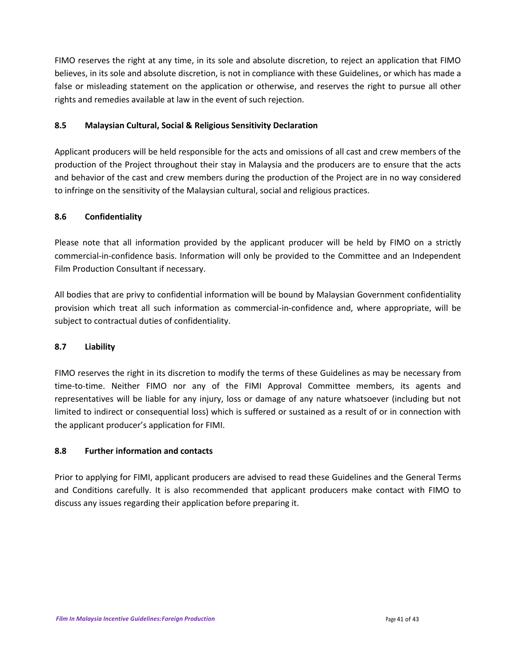FIMO reserves the right at any time, in its sole and absolute discretion, to reject an application that FIMO believes, in its sole and absolute discretion, is not in compliance with these Guidelines, or which has made a false or misleading statement on the application or otherwise, and reserves the right to pursue all other rights and remedies available at law in the event of such rejection.

# **8.5 Malaysian Cultural, Social & Religious Sensitivity Declaration**

Applicant producers will be held responsible for the acts and omissions of all cast and crew members of the production of the Project throughout their stay in Malaysia and the producers are to ensure that the acts and behavior of the cast and crew members during the production of the Project are in no way considered to infringe on the sensitivity of the Malaysian cultural, social and religious practices.

# **8.6 Confidentiality**

Please note that all information provided by the applicant producer will be held by FIMO on a strictly commercial-in-confidence basis. Information will only be provided to the Committee and an Independent Film Production Consultant if necessary.

All bodies that are privy to confidential information will be bound by Malaysian Government confidentiality provision which treat all such information as commercial-in-confidence and, where appropriate, will be subject to contractual duties of confidentiality.

# **8.7 Liability**

FIMO reserves the right in its discretion to modify the terms of these Guidelines as may be necessary from time-to-time. Neither FIMO nor any of the FIMI Approval Committee members, its agents and representatives will be liable for any injury, loss or damage of any nature whatsoever (including but not limited to indirect or consequential loss) which is suffered or sustained as a result of or in connection with the applicant producer's application for FIMI.

# **8.8 Further information and contacts**

Prior to applying for FIMI, applicant producers are advised to read these Guidelines and the General Terms and Conditions carefully. It is also recommended that applicant producers make contact with FIMO to discuss any issues regarding their application before preparing it.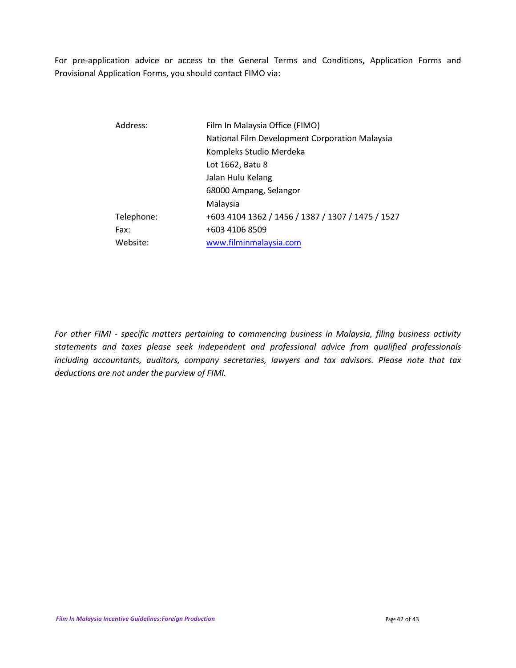For pre-application advice or access to the General Terms and Conditions, Application Forms and Provisional Application Forms, you should contact FIMO via:

| Film In Malaysia Office (FIMO)                    |
|---------------------------------------------------|
| National Film Development Corporation Malaysia    |
| Kompleks Studio Merdeka                           |
| Lot 1662, Batu 8                                  |
| Jalan Hulu Kelang                                 |
| 68000 Ampang, Selangor                            |
| Malaysia                                          |
| +603 4104 1362 / 1456 / 1387 / 1307 / 1475 / 1527 |
| +603 4106 8509                                    |
| www.filminmalaysia.com                            |
|                                                   |

*For other FIMI - specific matters pertaining to commencing business in Malaysia, filing business activity statements and taxes please seek independent and professional advice from qualified professionals including accountants, auditors, company secretaries, lawyers and tax advisors. Please note that tax deductions are not under the purview of FIMI.*